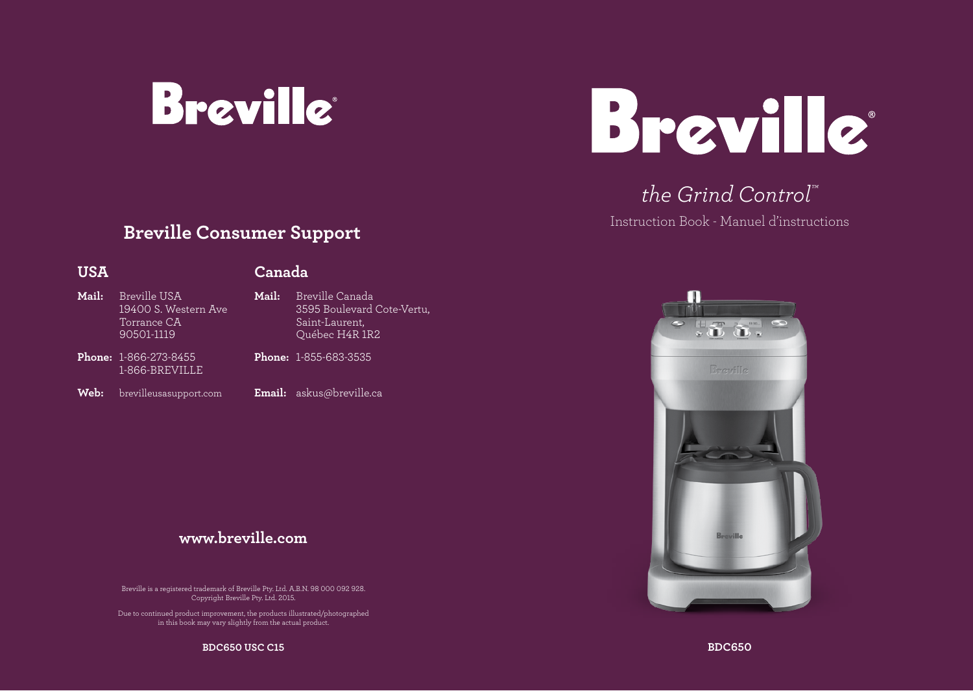



# *the Grind Control™*

Instruction Book - Manuel d'instructions

 $\sqrt{3}$ 

## **Breville Consumer Support**

## **USA**

## **Canada**

- **Mail:** Breville USA 19400 S. Western Ave Torrance CA 90501-1119 **Phone:** 1-866-273-8455 **Mail:** Breville Canada 3595 Boulevard Cote-Vertu, Saint-Laurent, Québec H4R 1R2 **Phone:** 1-855-683-3535
- **Web:** brevilleusasupport.com

1-866-BREVILLE

- 
- **Email:** askus@breville.ca

## **www.breville.com**

Breville is a registered trademark of Breville Pty. Ltd. A.B.N. 98 000 092 928. Copyright Breville Pty. Ltd. 2015.

Due to continued product improvement, the products illustrated/photographed in this book may vary slightly from the actual product.



**BDC650 USC C15**

**BDC650**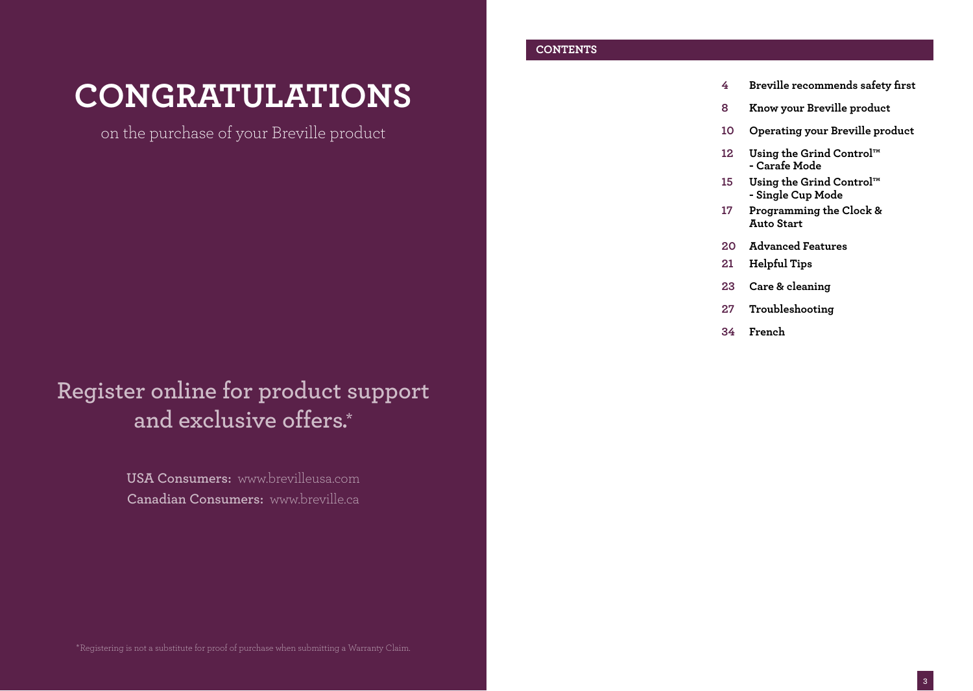# **CONGRATULATIONS**

on the purchase of your Breville product

# **Register online for product support and exclusive offers.\***

**USA Consumers:** www.brevilleusa.com **Canadian Consumers:** www.breville.ca

## **CONTENTS**

- **4 Breville recommends safety first**
- **8 Know your Breville product**
- **10 Operating your Breville product**
- **12 Using the Grind Control™ - Carafe Mode**
- **15 Using the Grind Control™ - Single Cup Mode**
- **17 Programming the Clock & Auto Start**
- **20 Advanced Features**
- **21 Helpful Tips**
- **23 Care & cleaning**
- **27 Troubleshooting**
- **34 French**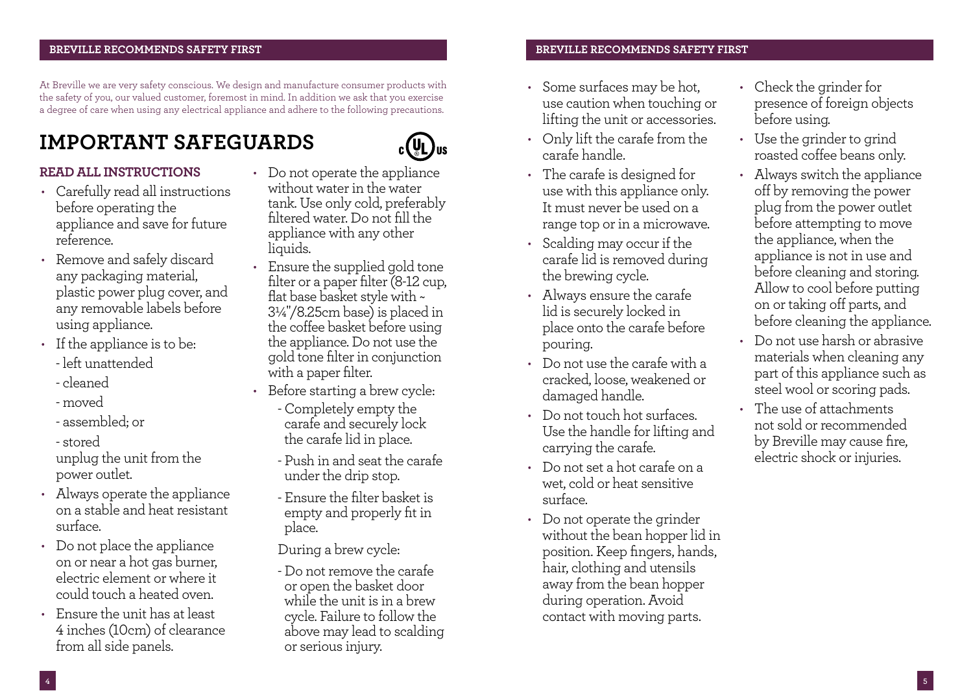At Breville we are very safety conscious. We design and manufacture consumer products with the safety of you, our valued customer, foremost in mind. In addition we ask that you exercise a degree of care when using any electrical appliance and adhere to the following precautions.

# **IMPORTANT SAFEGUARDS**

## **READ ALL INSTRUCTIONS**

- Carefully read all instructions before operating the appliance and save for future reference.
- Remove and safely discard any packaging material, plastic power plug cover, and any removable labels before using appliance.
- If the appliance is to be:
	- left unattended
	- cleaned
	- moved
	- assembled; or
	- stored

unplug the unit from the power outlet.

- Always operate the appliance on a stable and heat resistant surface.
- Do not place the appliance on or near a hot gas burner, electric element or where it could touch a heated oven.
- Ensure the unit has at least 4 inches (10cm) of clearance from all side panels.
- Do not operate the appliance without water in the water tank. Use only cold, preferably filtered water. Do not fill the appliance with any other liquids.
- Ensure the supplied gold tone filter or a paper filter (8-12 cup, flat base basket style with ~ 3¼"/8.25cm base) is placed in the coffee basket before using the appliance. Do not use the gold tone filter in conjunction with a paper filter.
- Before starting a brew cycle:
	- Completely empty the carafe and securely lock the carafe lid in place.
	- Push in and seat the carafe under the drip stop.
	- Ensure the filter basket is empty and properly fit in place.

During a brew cycle:

- Do not remove the carafe or open the basket door while the unit is in a brew cycle. Failure to follow the above may lead to scalding or serious injury.

## **BREVILLE RECOMMENDS SAFETY FIRST BREVILLE RECOMMENDS SAFETY FIRST**

- Some surfaces may be hot, use caution when touching or lifting the unit or accessories.
- Only lift the carafe from the carafe handle.
- The carafe is designed for use with this appliance only. It must never be used on a range top or in a microwave.
- Scalding may occur if the carafe lid is removed during the brewing cycle.
- Always ensure the carafe lid is securely locked in place onto the carafe before pouring.
- Do not use the carafe with a cracked, loose, weakened or damaged handle.
- Do not touch hot surfaces. Use the handle for lifting and carrying the carafe.
- Do not set a hot carafe on a wet, cold or heat sensitive surface.
- Do not operate the grinder without the bean hopper lid in position. Keep fingers, hands, hair, clothing and utensils away from the bean hopper during operation. Avoid contact with moving parts.
- Check the grinder for presence of foreign objects before using.
- Use the grinder to grind roasted coffee beans only.
- Always switch the appliance off by removing the power plug from the power outlet before attempting to move the appliance, when the appliance is not in use and before cleaning and storing. Allow to cool before putting on or taking off parts, and before cleaning the appliance.
- Do not use harsh or abrasive materials when cleaning any part of this appliance such as steel wool or scoring pads.
- The use of attachments not sold or recommended by Breville may cause fire, electric shock or injuries.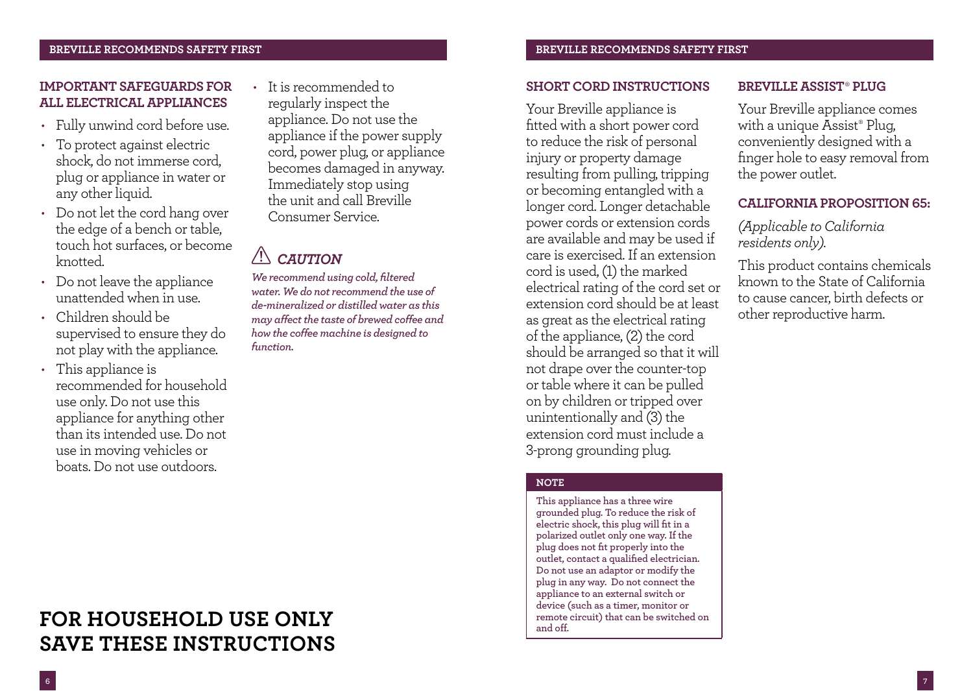## **BREVILLE RECOMMENDS SAFETY FIRST BREVILLE RECOMMENDS SAFETY FIRST**

## **IMPORTANT SAFEGUARDS FOR ALL ELECTRICAL APPLIANCES**

- Fully unwind cord before use.
- To protect against electric shock, do not immerse cord, plug or appliance in water or any other liquid.
- Do not let the cord hang over the edge of a bench or table, touch hot surfaces, or become knotted.
- Do not leave the appliance unattended when in use.
- Children should be supervised to ensure they do not play with the appliance.
- This appliance is recommended for household use only. Do not use this appliance for anything other than its intended use. Do not use in moving vehicles or boats. Do not use outdoors.

• It is recommended to regularly inspect the appliance. Do not use the appliance if the power supply cord, power plug, or appliance becomes damaged in anyway. Immediately stop using the unit and call Breville Consumer Service.

### $\sqrt{N}$ *CAUTION*

*We recommend using cold, filtered water. We do not recommend the use of de-mineralized or distilled water as this may affect the taste of brewed coffee and how the coffee machine is designed to function.*

## **SHORT CORD INSTRUCTIONS**

Your Breville appliance is fitted with a short power cord to reduce the risk of personal injury or property damage resulting from pulling, tripping or becoming entangled with a longer cord. Longer detachable power cords or extension cords are available and may be used if care is exercised. If an extension cord is used, (1) the marked electrical rating of the cord set or extension cord should be at least as great as the electrical rating of the appliance, (2) the cord should be arranged so that it will not drape over the counter-top or table where it can be pulled on by children or tripped over unintentionally and (3) the extension cord must include a 3-prong grounding plug.

## **NOTE**

**This appliance has a three wire grounded plug. To reduce the risk of electric shock, this plug will fit in a polarized outlet only one way. If the plug does not fit properly into the outlet, contact a qualified electrician. Do not use an adaptor or modify the plug in any way. Do not connect the appliance to an external switch or device (such as a timer, monitor or remote circuit) that can be switched on and off.**

## **BREVILLE ASSIST‰ PLUG**

Your Breville appliance comes with a unique Assist® Plug, conveniently designed with a finger hole to easy removal from the power outlet.

## **CALIFORNIA PROPOSITION 65:**

*(Applicable to California residents only).*

This product contains chemicals known to the State of California to cause cancer, birth defects or other reproductive harm.

# **FOR HOUSEHOLD USE ONLY SAVE THESE INSTRUCTIONS**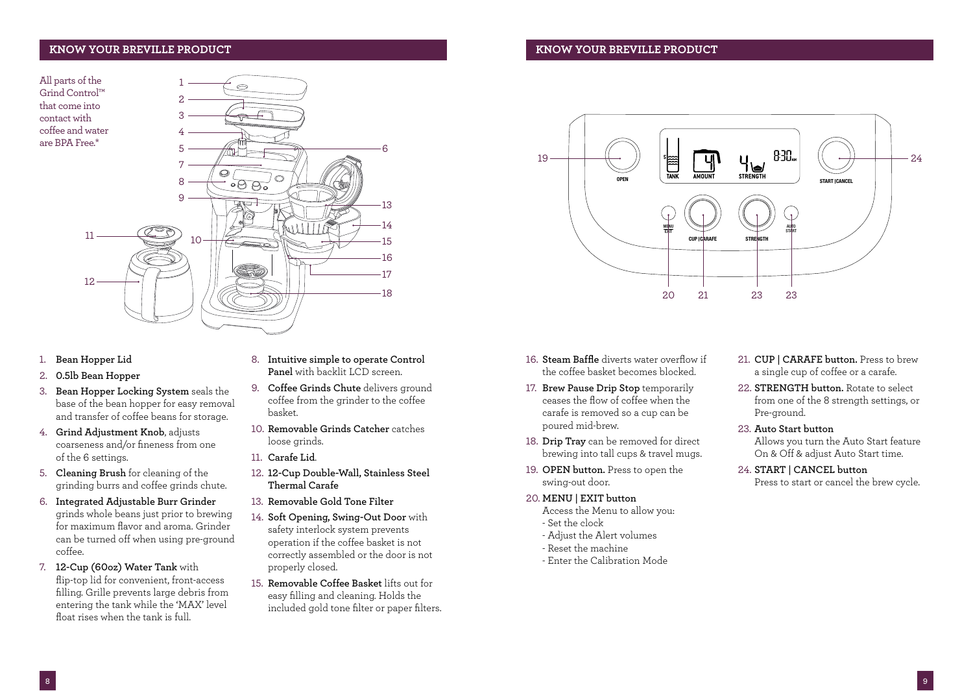## **KNOW YOUR BREVILLE PRODUCT KNOW YOUR BREVILLE PRODUCT**

All parts of the Grind Control™ that come into contact with coffee and water are BPA Free.\*



- 1. **Bean Hopper Lid**
- 2. **0.5lb Bean Hopper**
- 3. **Bean Hopper Locking System** seals the base of the bean hopper for easy removal and transfer of coffee beans for storage.
- 4. **Grind Adjustment Knob**, adjusts coarseness and/or fineness from one of the 6 settings.
- 5. **Cleaning Brush** for cleaning of the grinding burrs and coffee grinds chute.
- 6. **Integrated Adjustable Burr Grinder**  grinds whole beans just prior to brewing for maximum flavor and aroma. Grinder can be turned off when using pre-ground coffee.
- 7. **12-Cup (60oz) Water Tank** with flip-top lid for convenient, front-access filling. Grille prevents large debris from entering the tank while the 'MAX' level float rises when the tank is full.
- 8. **Intuitive simple to operate Control Panel** with backlit LCD screen.
- 9. **Coffee Grinds Chute** delivers ground coffee from the grinder to the coffee basket.
- 10. **Removable Grinds Catcher** catches loose grinds.
- 11. **Carafe Lid**.
- 12. **12-Cup Double-Wall, Stainless Steel Thermal Carafe**
- 13. **Removable Gold Tone Filter**
- 14. **Soft Opening, Swing-Out Door** with safety interlock system prevents operation if the coffee basket is not correctly assembled or the door is not properly closed.
- 15. **Removable Coffee Basket** lifts out for easy filling and cleaning. Holds the included gold tone filter or paper filters.



- 16. **Steam Baffle** diverts water overflow if the coffee basket becomes blocked.
- 17. **Brew Pause Drip Stop** temporarily ceases the flow of coffee when the carafe is removed so a cup can be poured mid-brew.
- 18. **Drip Tray** can be removed for direct brewing into tall cups & travel mugs.
- 19. **OPEN button.** Press to open the swing-out door.
- 20. **MENU | EXIT button** 
	- Access the Menu to allow you: - Set the clock
	- Adjust the Alert volumes
	- Reset the machine
	- Enter the Calibration Mode
- 21. **CUP | CARAFE button.** Press to brew a single cup of coffee or a carafe.
- 22. **STRENGTH button.** Rotate to select from one of the 8 strength settings, or Pre-ground.
- 23. **Auto Start button**  Allows you turn the Auto Start feature On & Off & adjust Auto Start time.

24. **START | CANCEL button**  Press to start or cancel the brew cycle.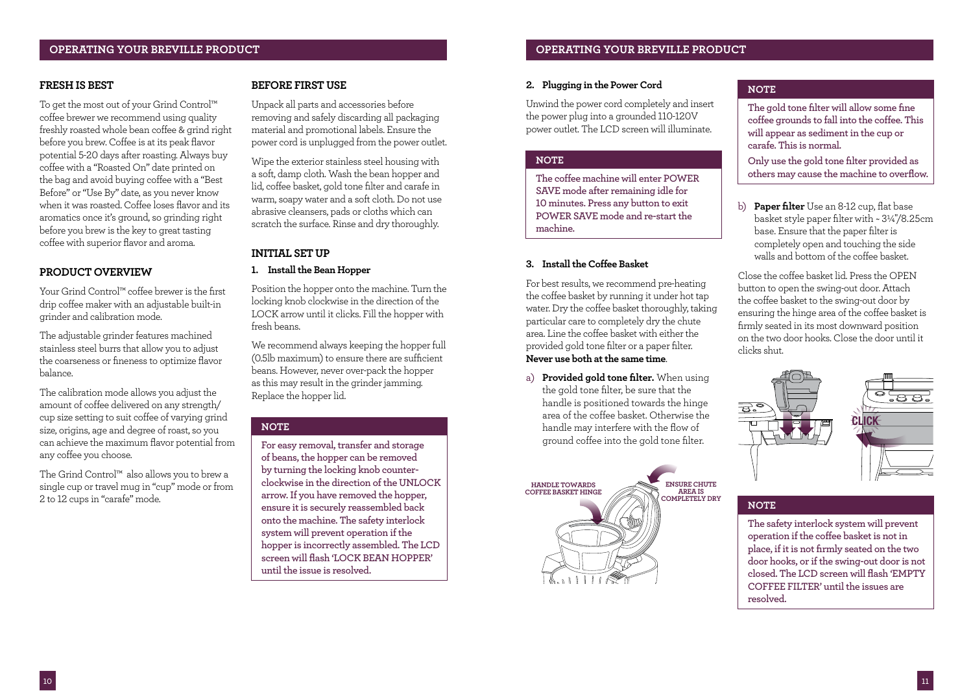## **FRESH IS BEST**

To get the most out of your Grind Control™ coffee brewer we recommend using quality freshly roasted whole bean coffee & grind right before you brew. Coffee is at its peak flavor potential 5-20 days after roasting. Always buy coffee with a "Roasted On" date printed on the bag and avoid buying coffee with a "Best Before" or "Use By" date, as you never know when it was roasted. Coffee loses flavor and its aromatics once it's ground, so grinding right before you brew is the key to great tasting coffee with superior flavor and aroma.

## **PRODUCT OVERVIEW**

Your Grind Control™ coffee brewer is the first drip coffee maker with an adjustable built-in grinder and calibration mode.

The adjustable grinder features machined stainless steel burrs that allow you to adjust the coarseness or fineness to optimize flavor balance.

The calibration mode allows you adjust the amount of coffee delivered on any strength/ cup size setting to suit coffee of varying grind size, origins, age and degree of roast, so you can achieve the maximum flavor potential from any coffee you choose.

The Grind Control™ also allows you to brew a single cup or travel mug in "cup" mode or from 2 to 12 cups in "carafe" mode.

## **BEFORE FIRST USE**

Unpack all parts and accessories before removing and safely discarding all packaging material and promotional labels. Ensure the power cord is unplugged from the power outlet.

Wipe the exterior stainless steel housing with a soft, damp cloth. Wash the bean hopper and lid, coffee basket, gold tone filter and carafe in warm, soapy water and a soft cloth. Do not use abrasive cleansers, pads or cloths which can scratch the surface. Rinse and dry thoroughly.

## **INITIAL SET UP**

## **1. Install the Bean Hopper**

Position the hopper onto the machine. Turn the locking knob clockwise in the direction of the LOCK arrow until it clicks. Fill the hopper with fresh beans.

We recommend always keeping the hopper full (0.5lb maximum) to ensure there are sufficient beans. However, never over-pack the hopper as this may result in the grinder jamming. Replace the hopper lid.

## **NOTE**

**For easy removal, transfer and storage of beans, the hopper can be removed by turning the locking knob counterclockwise in the direction of the UNLOCK arrow. If you have removed the hopper, ensure it is securely reassembled back onto the machine. The safety interlock system will prevent operation if the hopper is incorrectly assembled. The LCD screen will flash 'LOCK BEAN HOPPER' until the issue is resolved.**

## **OPERATING YOUR BREVILLE PRODUCT OPERATING YOUR BREVILLE PRODUCT**

### **2. Plugging in the Power Cord**

Unwind the power cord completely and insert the power plug into a grounded 110-120V power outlet. The LCD screen will illuminate.

## **NOTE**

**The coffee machine will enter POWER SAVE mode after remaining idle for 10 minutes. Press any button to exit POWER SAVE mode and re-start the machine.** 

## **3. Install the Coffee Basket**

For best results, we recommend pre-heating the coffee basket by running it under hot tap water. Dry the coffee basket thoroughly, taking particular care to completely dry the chute area. Line the coffee basket with either the provided gold tone filter or a paper filter. **Never use both at the same time**.

a) **Provided gold tone filter.** When using the gold tone filter, be sure that the handle is positioned towards the hinge area of the coffee basket. Otherwise the handle may interfere with the flow of ground coffee into the gold tone filter.



## **NOTE**

**The gold tone filter will allow some fine coffee grounds to fall into the coffee. This will appear as sediment in the cup or carafe. This is normal.**

**Only use the gold tone filter provided as others may cause the machine to overflow.** 

b) **Paper filter** Use an 8-12 cup, flat base basket style paper filter with ~ 3¼"/8.25cm base. Ensure that the paper filter is completely open and touching the side walls and bottom of the coffee basket.

Close the coffee basket lid. Press the OPEN button to open the swing-out door. Attach the coffee basket to the swing-out door by ensuring the hinge area of the coffee basket is firmly seated in its most downward position on the two door hooks. Close the door until it clicks shut.



## **NOTE**

**The safety interlock system will prevent operation if the coffee basket is not in place, if it is not firmly seated on the two door hooks, or if the swing-out door is not closed. The LCD screen will flash 'EMPTY COFFEE FILTER' until the issues are resolved.**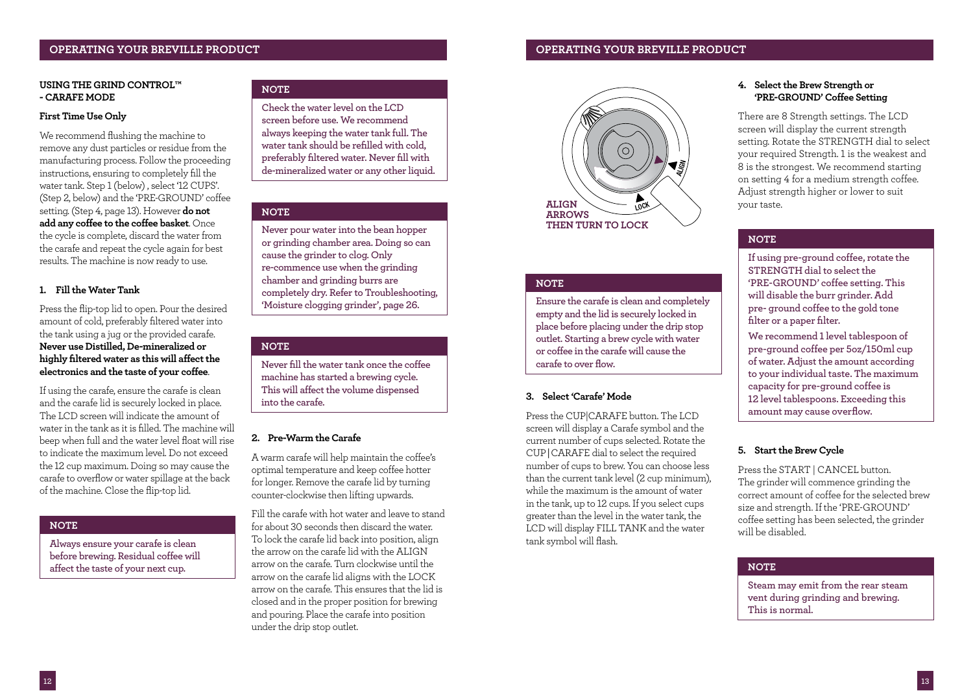## **OPERATING YOUR BREVILLE PRODUCT OPERATING YOUR BREVILLE PRODUCT**

### **USING THE GRIND CONTROL™ - CARAFE MODE**

### **First Time Use Only**

We recommend flushing the machine to remove any dust particles or residue from the manufacturing process. Follow the proceeding instructions, ensuring to completely fill the water tank. Step 1 (below) , select '12 CUPS'. (Step 2, below) and the 'PRE-GROUND' coffee setting. (Step 4, page 13). However **do not add any coffee to the coffee basket**. Once the cycle is complete, discard the water from the carafe and repeat the cycle again for best results. The machine is now ready to use.

## **1. Fill the Water Tank**

Press the flip-top lid to open. Pour the desired amount of cold, preferably filtered water into the tank using a jug or the provided carafe. **Never use Distilled, De-mineralized or highly filtered water as this will affect the electronics and the taste of your coffee**.

If using the carafe, ensure the carafe is clean and the carafe lid is securely locked in place. The LCD screen will indicate the amount of water in the tank as it is filled. The machine will beep when full and the water level float will rise to indicate the maximum level. Do not exceed the 12 cup maximum. Doing so may cause the carafe to overflow or water spillage at the back of the machine. Close the flip-top lid.

## **NOTE**

**Always ensure your carafe is clean before brewing. Residual coffee will affect the taste of your next cup.**

## **NOTE**

**Check the water level on the LCD screen before use. We recommend always keeping the water tank full. The water tank should be refilled with cold, preferably filtered water. Never fill with de-mineralized water or any other liquid.**

### **NOTE**

**Never pour water into the bean hopper or grinding chamber area. Doing so can cause the grinder to clog. Only re-commence use when the grinding chamber and grinding burrs are completely dry. Refer to Troubleshooting, 'Moisture clogging grinder', page 26.**

## **NOTE**

**Never fill the water tank once the coffee machine has started a brewing cycle. This will affect the volume dispensed into the carafe.**

## **2. Pre-Warm the Carafe**

A warm carafe will help maintain the coffee's optimal temperature and keep coffee hotter for longer. Remove the carafe lid by turning counter-clockwise then lifting upwards.

Fill the carafe with hot water and leave to stand for about 30 seconds then discard the water. To lock the carafe lid back into position, align the arrow on the carafe lid with the ALIGN arrow on the carafe. Turn clockwise until the arrow on the carafe lid aligns with the LOCK arrow on the carafe. This ensures that the lid is closed and in the proper position for brewing and pouring. Place the carafe into position under the drip stop outlet.



## **NOTE**

**Ensure the carafe is clean and completely empty and the lid is securely locked in place before placing under the drip stop outlet. Starting a brew cycle with water or coffee in the carafe will cause the carafe to over flow.** 

## **3. Select 'Carafe' Mode**

Press the CUP|CARAFE button. The LCD screen will display a Carafe symbol and the current number of cups selected. Rotate the CUP | CARAFE dial to select the required number of cups to brew. You can choose less than the current tank level (2 cup minimum), while the maximum is the amount of water in the tank, up to 12 cups. If you select cups greater than the level in the water tank, the LCD will display FILL TANK and the water tank symbol will flash.

## **4. Select the Brew Strength or 'PRE-GROUND' Coffee Setting**

There are 8 Strength settings. The LCD screen will display the current strength setting. Rotate the STRENGTH dial to select your required Strength. 1 is the weakest and 8 is the strongest. We recommend starting on setting 4 for a medium strength coffee. Adjust strength higher or lower to suit your taste.

## **NOTE**

**If using pre-ground coffee, rotate the STRENGTH dial to select the 'PRE-GROUND' coffee setting. This will disable the burr grinder. Add pre- ground coffee to the gold tone filter or a paper filter.**

**We recommend 1 level tablespoon of pre-ground coffee per 5oz/150ml cup of water. Adjust the amount according to your individual taste. The maximum capacity for pre-ground coffee is 12 level tablespoons. Exceeding this amount may cause overflow.**

## **5. Start the Brew Cycle**

Press the START | CANCEL button. The grinder will commence grinding the correct amount of coffee for the selected brew size and strength. If the 'PRE-GROUND' coffee setting has been selected, the grinder will be disabled.

## **NOTE**

**Steam may emit from the rear steam vent during grinding and brewing. This is normal.**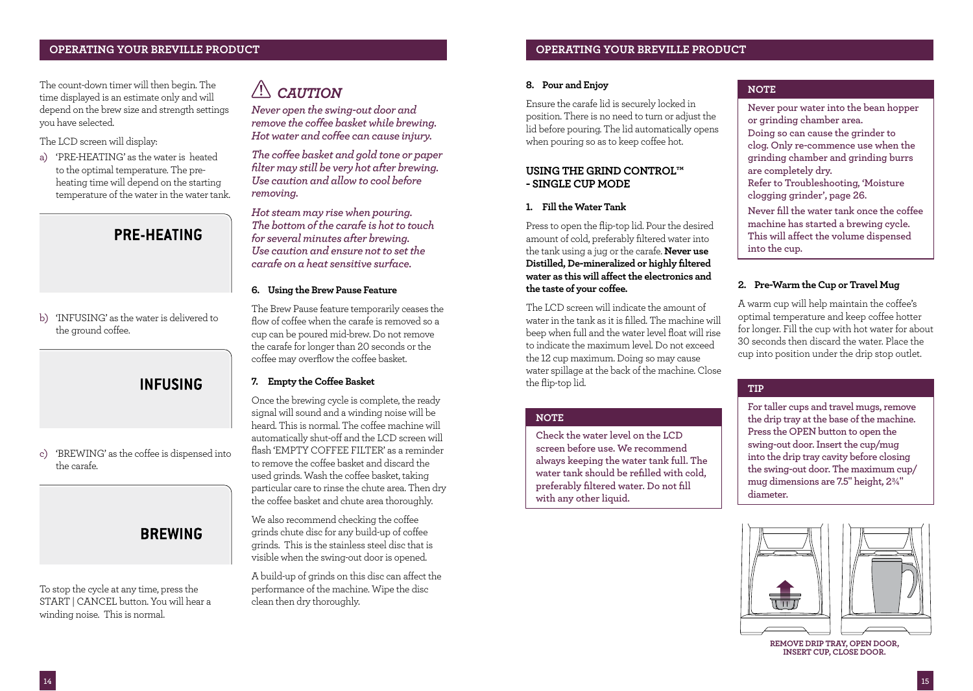The count-down timer will then begin. The time displayed is an estimate only and will depend on the brew size and strength settings you have selected.

## The LCD screen will display:

a) 'PRE-HEATING' as the water is heated to the optimal temperature. The preheating time will depend on the starting temperature of the water in the water tank.

## **PRE-HEATING**

b) 'INFUSING' as the water is delivered to the ground coffee.

## **INFUSING**

c) 'BREWING' as the coffee is dispensed into the carafe.

## **BREWING**

To stop the cycle at any time, press the START | CANCEL button. You will hear a winding noise. This is normal.

## *CAUTION*

*Never open the swing-out door and remove the coffee basket while brewing. Hot water and coffee can cause injury.*

*The coffee basket and gold tone or paper filter may still be very hot after brewing. Use caution and allow to cool before removing.*

*Hot steam may rise when pouring. The bottom of the carafe is hot to touch for several minutes after brewing. Use caution and ensure not to set the carafe on a heat sensitive surface.* 

## **6. Using the Brew Pause Feature**

The Brew Pause feature temporarily ceases the flow of coffee when the carafe is removed so a cup can be poured mid-brew. Do not remove the carafe for longer than 20 seconds or the coffee may overflow the coffee basket.

## **7. Empty the Coffee Basket**

Once the brewing cycle is complete, the ready signal will sound and a winding noise will be heard. This is normal. The coffee machine will automatically shut-off and the LCD screen will flash 'EMPTY COFFEE FILTER' as a reminder to remove the coffee basket and discard the used grinds. Wash the coffee basket, taking particular care to rinse the chute area. Then dry the coffee basket and chute area thoroughly.

We also recommend checking the coffee grinds chute disc for any build-up of coffee grinds. This is the stainless steel disc that is visible when the swing-out door is opened.

A build-up of grinds on this disc can affect the performance of the machine. Wipe the disc clean then dry thoroughly.

## **OPERATING YOUR BREVILLE PRODUCT OPERATING YOUR BREVILLE PRODUCT**

## **8. Pour and Enjoy**

Ensure the carafe lid is securely locked in position. There is no need to turn or adjust the lid before pouring. The lid automatically opens when pouring so as to keep coffee hot.

## **USING THE GRIND CONTROL™ - SINGLE CUP MODE**

## **1. Fill the Water Tank**

Press to open the flip-top lid. Pour the desired amount of cold, preferably filtered water into the tank using a jug or the carafe. **Never use Distilled, De-mineralized or highly filtered water as this will affect the electronics and the taste of your coffee.**

The LCD screen will indicate the amount of water in the tank as it is filled. The machine will beep when full and the water level float will rise to indicate the maximum level. Do not exceed the 12 cup maximum. Doing so may cause water spillage at the back of the machine. Close the flip-top lid.

## **NOTE**

**Check the water level on the LCD screen before use. We recommend always keeping the water tank full. The water tank should be refilled with cold, preferably filtered water. Do not fill with any other liquid.**

## **NOTE**

**Never pour water into the bean hopper or grinding chamber area. Doing so can cause the grinder to clog. Only re-commence use when the grinding chamber and grinding burrs are completely dry. Refer to Troubleshooting, 'Moisture clogging grinder', page 26. Never fill the water tank once the coffee machine has started a brewing cycle. This will affect the volume dispensed into the cup.**

## **2. Pre-Warm the Cup or Travel Mug**

A warm cup will help maintain the coffee's optimal temperature and keep coffee hotter for longer. Fill the cup with hot water for about 30 seconds then discard the water. Place the cup into position under the drip stop outlet.

## **TIP**

**For taller cups and travel mugs, remove the drip tray at the base of the machine. Press the OPEN button to open the swing-out door. Insert the cup/mug into the drip tray cavity before closing the swing-out door. The maximum cup/ mug dimensions are 7.5" height, 2¾" diameter.**



**REMOVE DRIP TRAY, OPEN DOOR, INSERT CUP, CLOSE DOOR.**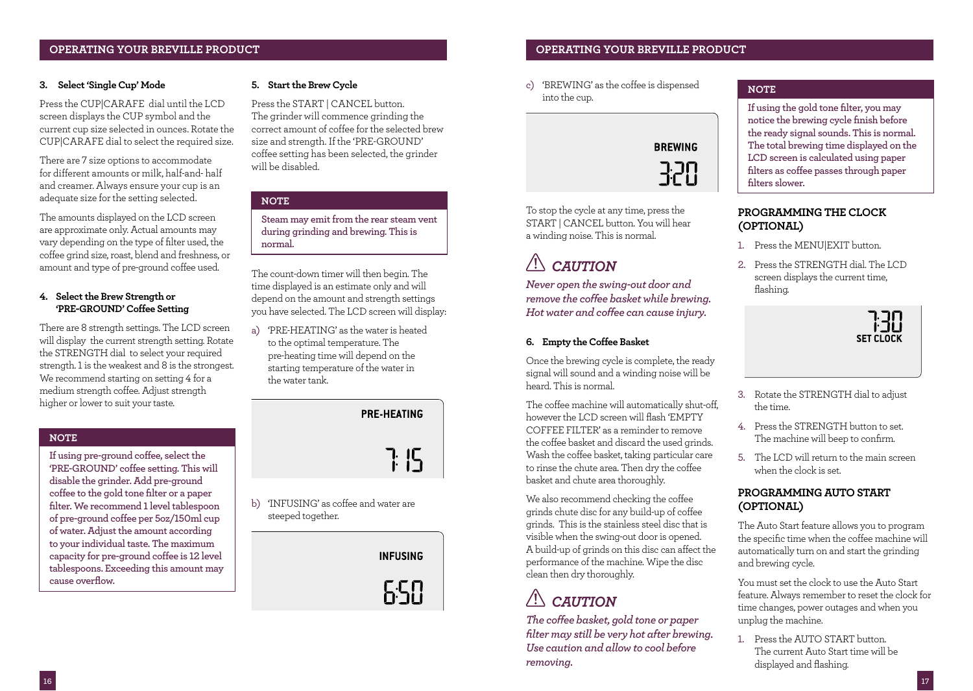### **3. Select 'Single Cup' Mode**

Press the CUP|CARAFE dial until the LCD screen displays the CUP symbol and the current cup size selected in ounces. Rotate the CUP|CARAFE dial to select the required size.

There are 7 size options to accommodate for different amounts or milk, half-and- half and creamer. Always ensure your cup is an adequate size for the setting selected.

The amounts displayed on the LCD screen are approximate only. Actual amounts may vary depending on the type of filter used, the coffee grind size, roast, blend and freshness, or amount and type of pre-ground coffee used.

## **4. Select the Brew Strength or 'PRE-GROUND' Coffee Setting**

There are 8 strength settings. The LCD screen will display the current strength setting. Rotate the STRENGTH dial to select your required strength. 1 is the weakest and 8 is the strongest. We recommend starting on setting 4 for a medium strength coffee. Adjust strength higher or lower to suit your taste.

## **NOTE**

**If using pre-ground coffee, select the 'PRE-GROUND' coffee setting. This will disable the grinder. Add pre-ground coffee to the gold tone filter or a paper filter. We recommend 1 level tablespoon of pre-ground coffee per 5oz/150ml cup of water. Adjust the amount according to your individual taste. The maximum capacity for pre-ground coffee is 12 level tablespoons. Exceeding this amount may cause overflow.**

## **5. Start the Brew Cycle**

Press the START | CANCEL button. The grinder will commence grinding the correct amount of coffee for the selected brew size and strength. If the 'PRE-GROUND' coffee setting has been selected, the grinder will be disabled.

## **NOTE**

**Steam may emit from the rear steam vent during grinding and brewing. This is normal.**

The count-down timer will then begin. The time displayed is an estimate only and will depend on the amount and strength settings you have selected. The LCD screen will display:

a) 'PRE-HEATING' as the water is heated to the optimal temperature. The pre-heating time will depend on the starting temperature of the water in the water tank.

> **PRE-HEATING** 7: 15

b) 'INFUSING' as coffee and water are steeped together.

**INFUSING** 

650

## **OPERATING YOUR BREVILLE PRODUCT OPERATING YOUR BREVILLE PRODUCT**

c) 'BREWING' as the coffee is dispensed into the cup.



To stop the cycle at any time, press the START | CANCEL button. You will hear a winding noise. This is normal.

# *CAUTION*

*Never open the swing-out door and remove the coffee basket while brewing. Hot water and coffee can cause injury.* 

## **6. Empty the Coffee Basket**

Once the brewing cycle is complete, the ready signal will sound and a winding noise will be heard. This is normal.

The coffee machine will automatically shut-off, however the LCD screen will flash 'EMPTY COFFEE FILTER' as a reminder to remove the coffee basket and discard the used grinds. Wash the coffee basket, taking particular care to rinse the chute area. Then dry the coffee basket and chute area thoroughly.

We also recommend checking the coffee grinds chute disc for any build-up of coffee grinds. This is the stainless steel disc that is visible when the swing-out door is opened. A build-up of grinds on this disc can affect the performance of the machine. Wipe the disc clean then dry thoroughly.

# *CAUTION*

*The coffee basket, gold tone or paper filter may still be very hot after brewing. Use caution and allow to cool before removing.* 

## **NOTE**

**If using the gold tone filter, you may notice the brewing cycle finish before the ready signal sounds. This is normal. The total brewing time displayed on the LCD screen is calculated using paper filters as coffee passes through paper filters slower.**

## **PROGRAMMING THE CLOCK (OPTIONAL)**

- 1. Press the MENU|EXIT button.
- 2. Press the STRENGTH dial. The LCD. screen displays the current time, flashing.



- 3. Rotate the STRENGTH dial to adjust the time.
- 4. Press the STRENGTH button to set. The machine will beep to confirm.
- 5. The LCD will return to the main screen when the clock is set.

## **PROGRAMMING AUTO START (OPTIONAL)**

The Auto Start feature allows you to program the specific time when the coffee machine will automatically turn on and start the grinding and brewing cycle.

You must set the clock to use the Auto Start feature. Always remember to reset the clock for time changes, power outages and when you unplug the machine.

1. Press the AUTO START button. The current Auto Start time will be displayed and flashing.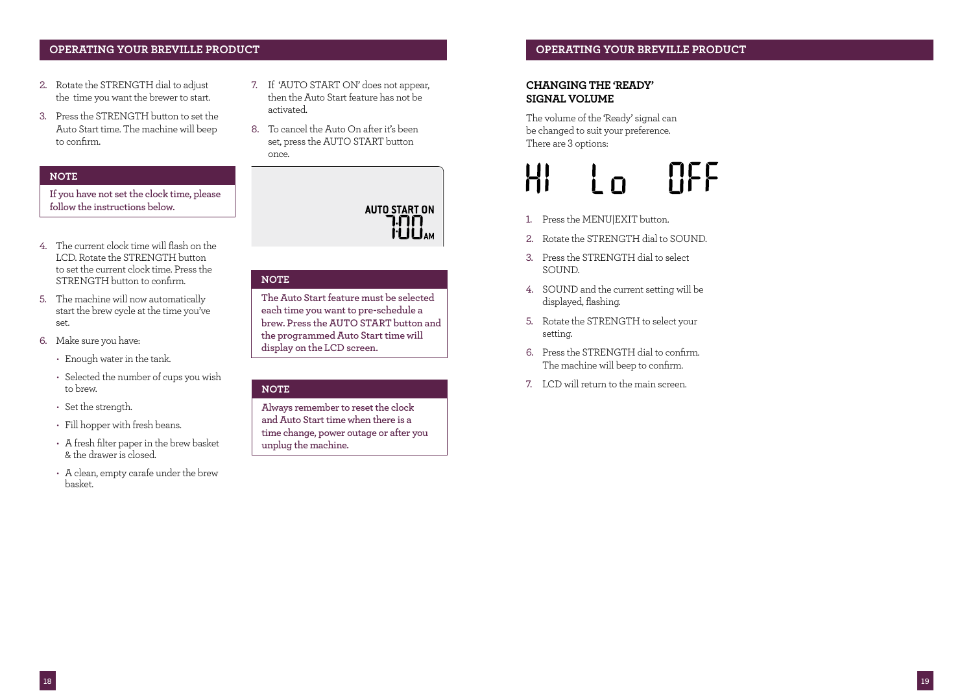## **OPERATING YOUR BREVILLE PRODUCT OPERATING YOUR BREVILLE PRODUCT**

- 2. Rotate the STRENGTH dial to adjust the time you want the brewer to start.
- 3. Press the STRENGTH button to set the Auto Start time. The machine will beep to confirm.

### **NOTE**

**If you have not set the clock time, please follow the instructions below.**

- 4. The current clock time will flash on the LCD. Rotate the STRENGTH button to set the current clock time. Press the STRENGTH button to confirm.
- 5. The machine will now automatically start the brew cycle at the time you've set.
- 6. Make sure you have:
	- Enough water in the tank.
	- Selected the number of cups you wish to brew.
	- Set the strength.
	- Fill hopper with fresh beans.
	- A fresh filter paper in the brew basket & the drawer is closed.
	- A clean, empty carafe under the brew basket.
- 7. If 'AUTO START ON' does not appear, then the Auto Start feature has not be activated.
- 8. To cancel the Auto On after it's been set, press the AUTO START button once.



### **NOTE**

**The Auto Start feature must be selected each time you want to pre-schedule a brew. Press the AUTO START button and the programmed Auto Start time will display on the LCD screen.** 

### **NOTE**

**Always remember to reset the clock and Auto Start time when there is a time change, power outage or after you unplug the machine.**

## **CHANGING THE 'READY' SIGNAL VOLUME**

The volume of the 'Ready' signal can be changed to suit your preference. There are 3 options:

## **HEF**  $\Gamma$

- 1. Press the MENU|EXIT button.
- 2. Rotate the STRENGTH dial to SOUND.
- 3. Press the STRENGTH dial to select SOUND.
- 4. SOUND and the current setting will be displayed, flashing.
- 5. Rotate the STRENGTH to select your setting.
- 6. Press the STRENGTH dial to confirm. The machine will beep to confirm.
- 7. LCD will return to the main screen.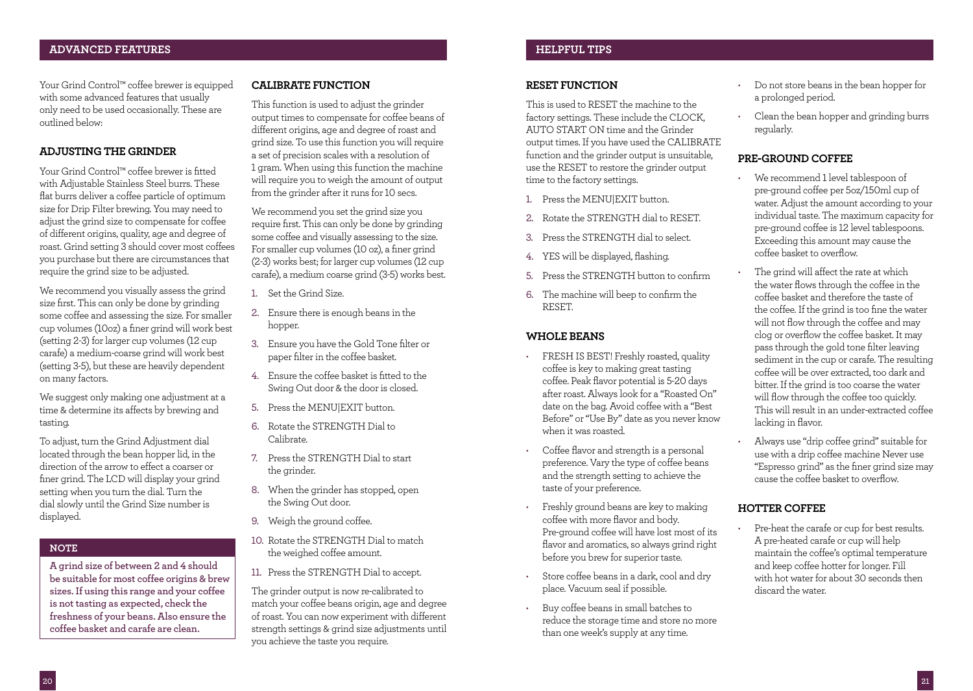## **ADVANCED FEATURES HELPFUL TIPS**

Your Grind Control™ coffee brewer is equipped with some advanced features that usually only need to be used occasionally. These are outlined below:

## **ADJUSTING THE GRINDER**

Your Grind Control™ coffee brewer is fitted with Adjustable Stainless Steel burrs. These flat burrs deliver a coffee particle of optimum size for Drip Filter brewing. You may need to adjust the grind size to compensate for coffee of different origins, quality, age and degree of roast. Grind setting 3 should cover most coffees you purchase but there are circumstances that require the grind size to be adjusted.

We recommend you visually assess the grind size first. This can only be done by grinding some coffee and assessing the size. For smaller cup volumes (10oz) a finer grind will work best (setting 2-3) for larger cup volumes (12 cup carafe) a medium-coarse grind will work best (setting 3-5), but these are heavily dependent on many factors.

We suggest only making one adjustment at a time & determine its affects by brewing and tasting.

To adjust, turn the Grind Adjustment dial located through the bean hopper lid, in the direction of the arrow to effect a coarser or finer grind. The LCD will display your grind setting when you turn the dial. Turn the dial slowly until the Grind Size number is displayed.

## **NOTE**

**A grind size of between 2 and 4 should be suitable for most coffee origins & brew sizes. If using this range and your coffee is not tasting as expected, check the freshness of your beans. Also ensure the coffee basket and carafe are clean.**

## **CALIBRATE FUNCTION**

This function is used to adjust the grinder output times to compensate for coffee beans of different origins, age and degree of roast and grind size. To use this function you will require a set of precision scales with a resolution of 1 gram. When using this function the machine will require you to weigh the amount of output from the grinder after it runs for 10 secs.

We recommend you set the grind size you require first. This can only be done by grinding some coffee and visually assessing to the size. For smaller cup volumes (10 oz), a finer grind (2-3) works best; for larger cup volumes (12 cup carafe), a medium coarse grind (3-5) works best.

- 1. Set the Grind Size.
- 2. Ensure there is enough beans in the hopper.
- 3. Ensure you have the Gold Tone filter or paper filter in the coffee basket.
- 4. Ensure the coffee basket is fitted to the Swing Out door & the door is closed.
- 5. Press the MENU|EXIT button.
- 6. Rotate the STRENGTH Dial to Calibrate.
- 7. Press the STRENGTH Dial to start the grinder.
- 8. When the grinder has stopped, open the Swing Out door.
- 9. Weigh the ground coffee.
- 10. Rotate the STRENGTH Dial to match the weighed coffee amount.
- 11. Press the STRENGTH Dial to accept.

The grinder output is now re-calibrated to match your coffee beans origin, age and degree of roast. You can now experiment with different strength settings & grind size adjustments until you achieve the taste you require.

## **RESET FUNCTION**

This is used to RESET the machine to the factory settings. These include the CLOCK, AUTO START ON time and the Grinder output times. If you have used the CALIBRATE function and the grinder output is unsuitable, use the RESET to restore the grinder output time to the factory settings.

- 1. Press the MENU|EXIT button.
- 2. Rotate the STRENGTH dial to RESET.
- 3. Press the STRENGTH dial to select.
- 4. YES will be displayed, flashing.
- 5. Press the STRENGTH button to confirm
- 6. The machine will beep to confirm the RESET.

## **WHOLE BEANS**

- FRESH IS BEST! Freshly roasted, quality coffee is key to making great tasting coffee. Peak flavor potential is 5-20 days after roast. Always look for a "Roasted On" date on the bag. Avoid coffee with a "Best Before" or "Use By" date as you never know when it was roasted.
- Coffee flavor and strength is a personal preference. Vary the type of coffee beans and the strength setting to achieve the taste of your preference.
- Freshly ground beans are key to making coffee with more flavor and body. Pre-ground coffee will have lost most of its flavor and aromatics, so always grind right before you brew for superior taste.
- Store coffee beans in a dark, cool and dry place. Vacuum seal if possible.
- Buy coffee beans in small batches to reduce the storage time and store no more than one week's supply at any time.
- Do not store beans in the bean hopper for a prolonged period.
- Clean the bean hopper and grinding burrs regularly.

## **PRE-GROUND COFFEE**

- We recommend 1 level tablespoon of pre-ground coffee per 5oz/150ml cup of water. Adjust the amount according to your individual taste. The maximum capacity for pre-ground coffee is 12 level tablespoons. Exceeding this amount may cause the coffee basket to overflow.
- The grind will affect the rate at which the water flows through the coffee in the coffee basket and therefore the taste of the coffee. If the grind is too fine the water will not flow through the coffee and may clog or overflow the coffee basket. It may pass through the gold tone filter leaving sediment in the cup or carafe. The resulting coffee will be over extracted, too dark and bitter. If the grind is too coarse the water will flow through the coffee too quickly. This will result in an under-extracted coffee lacking in flavor.
- Always use "drip coffee grind" suitable for use with a drip coffee machine Never use "Espresso grind" as the finer grind size may cause the coffee basket to overflow.

## **HOTTER COFFEE**

• Pre-heat the carafe or cup for best results. A pre-heated carafe or cup will help maintain the coffee's optimal temperature and keep coffee hotter for longer. Fill with hot water for about 30 seconds then discard the water.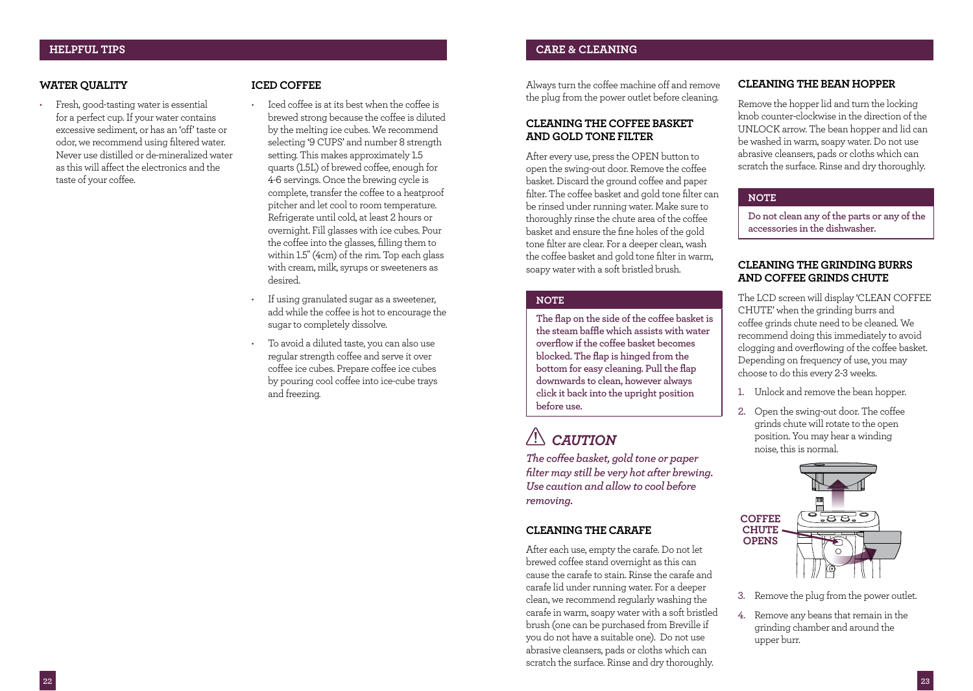## **WATER QUALITY**

• Fresh, good-tasting water is essential for a perfect cup. If your water contains excessive sediment, or has an 'off' taste or odor, we recommend using filtered water. Never use distilled or de-mineralized water as this will affect the electronics and the taste of your coffee.

## **ICED COFFEE**

- Iced coffee is at its best when the coffee is brewed strong because the coffee is diluted by the melting ice cubes. We recommend selecting '9 CUPS' and number 8 strength setting. This makes approximately 1.5 quarts (1.5L) of brewed coffee, enough for 4-6 servings. Once the brewing cycle is complete, transfer the coffee to a heatproof pitcher and let cool to room temperature. Refrigerate until cold, at least 2 hours or overnight. Fill glasses with ice cubes. Pour the coffee into the glasses, filling them to within 1.5" (4cm) of the rim. Top each glass with cream, milk, syrups or sweeteners as desired.
- If using granulated sugar as a sweetener, add while the coffee is hot to encourage the sugar to completely dissolve.
- To avoid a diluted taste, you can also use regular strength coffee and serve it over coffee ice cubes. Prepare coffee ice cubes by pouring cool coffee into ice-cube trays and freezing.

Always turn the coffee machine off and remove the plug from the power outlet before cleaning.

## **CLEANING THE COFFEE BASKET AND GOLD TONE FILTER**

After every use, press the OPEN button to open the swing-out door. Remove the coffee basket. Discard the ground coffee and paper filter. The coffee basket and gold tone filter can be rinsed under running water. Make sure to thoroughly rinse the chute area of the coffee basket and ensure the fine holes of the gold tone filter are clear. For a deeper clean, wash the coffee basket and gold tone filter in warm, soapy water with a soft bristled brush.

## **NOTE**

**The flap on the side of the coffee basket is the steam baffle which assists with water overflow if the coffee basket becomes blocked. The flap is hinged from the bottom for easy cleaning. Pull the flap downwards to clean, however always click it back into the upright position before use.**

# *CAUTION*

*The coffee basket, gold tone or paper filter may still be very hot after brewing. Use caution and allow to cool before removing.*

### **CLEANING THE CARAFE**

After each use, empty the carafe. Do not let brewed coffee stand overnight as this can cause the carafe to stain. Rinse the carafe and carafe lid under running water. For a deeper clean, we recommend regularly washing the carafe in warm, soapy water with a soft bristled brush (one can be purchased from Breville if you do not have a suitable one). Do not use abrasive cleansers, pads or cloths which can scratch the surface. Rinse and dry thoroughly.

## **CLEANING THE BEAN HOPPER**

Remove the hopper lid and turn the locking knob counter-clockwise in the direction of the UNLOCK arrow. The bean hopper and lid can be washed in warm, soapy water. Do not use abrasive cleansers, pads or cloths which can scratch the surface. Rinse and dry thoroughly.

### **NOTE**

**Do not clean any of the parts or any of the accessories in the dishwasher.**

## **CLEANING THE GRINDING BURRS AND COFFEE GRINDS CHUTE**

The LCD screen will display 'CLEAN COFFEE CHUTE' when the grinding burrs and coffee grinds chute need to be cleaned. We recommend doing this immediately to avoid clogging and overflowing of the coffee basket. Depending on frequency of use, you may choose to do this every 2-3 weeks.

- 1. Unlock and remove the bean hopper.
- 2. Open the swing-out door. The coffee grinds chute will rotate to the open position. You may hear a winding noise, this is normal.



- 3. Remove the plug from the power outlet.
- 4. Remove any beans that remain in the grinding chamber and around the upper burr.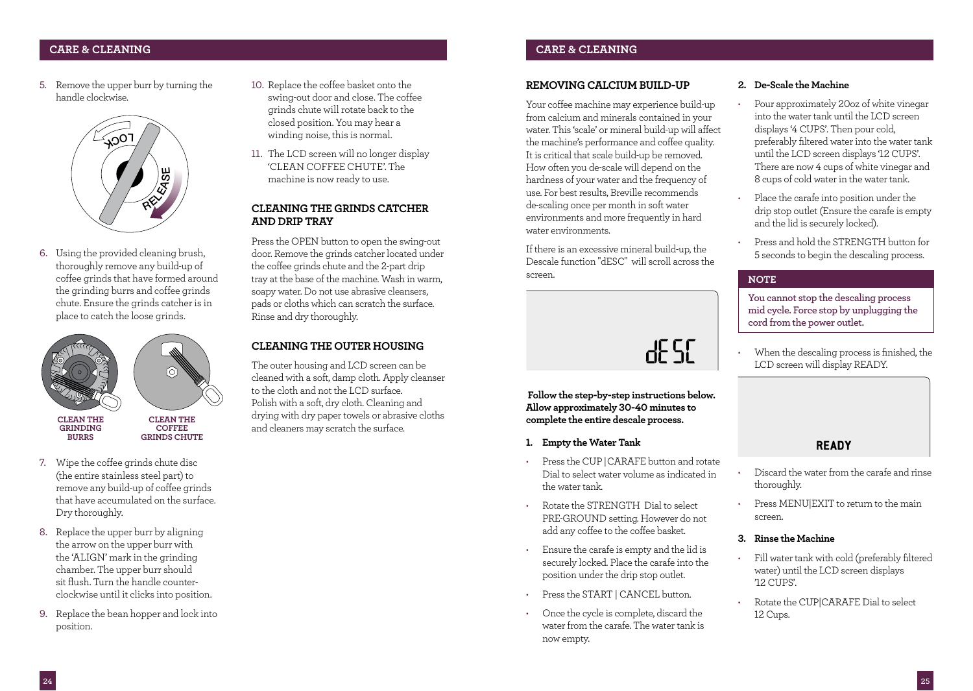## **CARE & CLEANING CARE & CLEANING**

5. Remove the upper burr by turning the handle clockwise.



6. Using the provided cleaning brush, thoroughly remove any build-up of coffee grinds that have formed around the grinding burrs and coffee grinds chute. Ensure the grinds catcher is in place to catch the loose grinds.



- **BURRS GRINDS CHUTE**
- 7. Wipe the coffee grinds chute disc (the entire stainless steel part) to remove any build-up of coffee grinds that have accumulated on the surface. Dry thoroughly.
- 8. Replace the upper burr by aligning the arrow on the upper burr with the 'ALIGN' mark in the grinding chamber. The upper burr should sit flush. Turn the handle counterclockwise until it clicks into position.
- 9. Replace the bean hopper and lock into position.
- 10. Replace the coffee basket onto the swing-out door and close. The coffee grinds chute will rotate back to the closed position. You may hear a winding noise, this is normal.
- 11. The LCD screen will no longer display 'CLEAN COFFEE CHUTE'. The machine is now ready to use.

## **CLEANING THE GRINDS CATCHER AND DRIP TRAY**

Press the OPEN button to open the swing-out door. Remove the grinds catcher located under the coffee grinds chute and the 2-part drip tray at the base of the machine. Wash in warm, soapy water. Do not use abrasive cleansers, pads or cloths which can scratch the surface. Rinse and dry thoroughly.

## **CLEANING THE OUTER HOUSING**

The outer housing and LCD screen can be cleaned with a soft, damp cloth. Apply cleanser to the cloth and not the LCD surface. Polish with a soft, dry cloth. Cleaning and drying with dry paper towels or abrasive cloths and cleaners may scratch the surface.

## **REMOVING CALCIUM BUILD-UP**

Your coffee machine may experience build-up from calcium and minerals contained in your water. This 'scale' or mineral build-up will affect the machine's performance and coffee quality. It is critical that scale build-up be removed. How often you de-scale will depend on the hardness of your water and the frequency of use. For best results, Breville recommends de-scaling once per month in soft water environments and more frequently in hard water environments.

If there is an excessive mineral build-up, the Descale function "dESC" will scroll across the screen.

dE 50

 **Follow the step-by-step instructions below. Allow approximately 30-40 minutes to complete the entire descale process.**

- **1. Empty the Water Tank**
- Press the CUP |CARAFE button and rotate Dial to select water volume as indicated in the water tank.
- Rotate the STRENGTH Dial to select PRE-GROUND setting. However do not add any coffee to the coffee basket.
- Ensure the carafe is empty and the lid is securely locked. Place the carafe into the position under the drip stop outlet.
- Press the START | CANCEL button.
- Once the cycle is complete, discard the water from the carafe. The water tank is now empty.

## **2. De-Scale the Machine**

- Pour approximately 20oz of white vinegar into the water tank until the LCD screen displays '4 CUPS'. Then pour cold, preferably filtered water into the water tank until the LCD screen displays '12 CUPS'. There are now 4 cups of white vinegar and 8 cups of cold water in the water tank.
- Place the carafe into position under the drip stop outlet (Ensure the carafe is empty and the lid is securely locked).
- Press and hold the STRENGTH button for 5 seconds to begin the descaling process.

### **NOTE**

**You cannot stop the descaling process mid cycle. Force stop by unplugging the cord from the power outlet.**

• When the descaling process is finished, the LCD screen will display READY.

**READY** 

- Discard the water from the carafe and rinse thoroughly.
- Press MENU|EXIT to return to the main screen.

## **3. Rinse the Machine**

- Fill water tank with cold (preferably filtered water) until the LCD screen displays  $'12$   $C\Pi$  $PS'$
- Rotate the CUP|CARAFE Dial to select 12 Cups.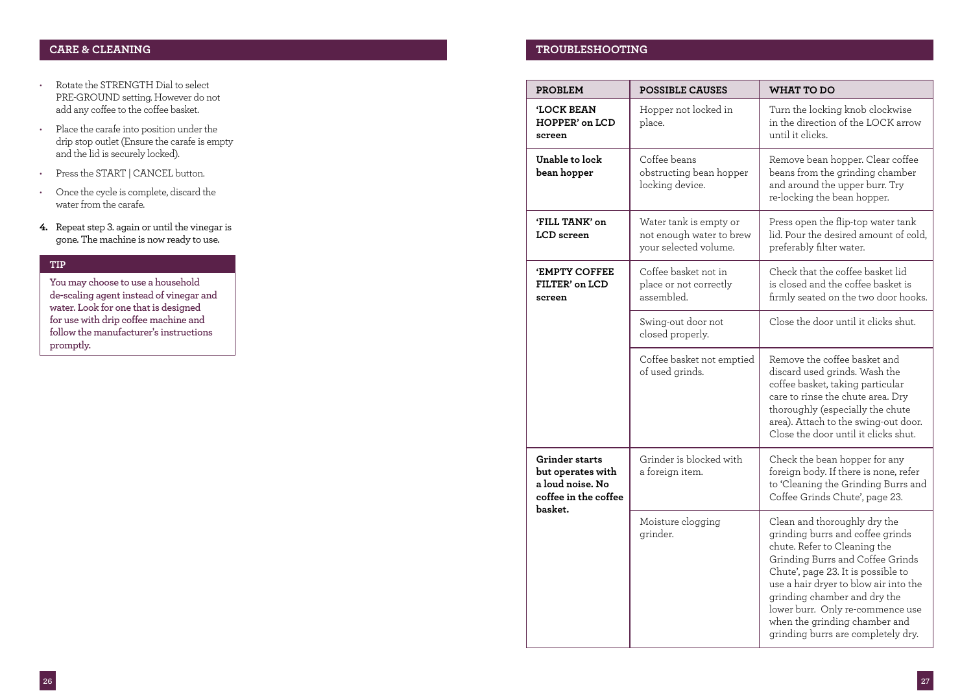- Rotate the STRENGTH Dial to select PRE-GROUND setting. However do not add any coffee to the coffee basket.
- Place the carafe into position under the drip stop outlet (Ensure the carafe is empty and the lid is securely locked).
- Press the START | CANCEL button.
- Once the cycle is complete, discard the water from the carafe.
- **4.** Repeat step 3. again or until the vinegar is gone. The machine is now ready to use.

## **TIP**

**You may choose to use a household de-scaling agent instead of vinegar and water. Look for one that is designed for use with drip coffee machine and follow the manufacturer's instructions promptly.** 

## **CARE & CLEANING TROUBLESHOOTING**

| <b>PROBLEM</b>                                                                             | <b>POSSIBLE CAUSES</b>                                                      | <b>WHAT TO DO</b>                                                                                                                                                                                                                                                                                                                                              |
|--------------------------------------------------------------------------------------------|-----------------------------------------------------------------------------|----------------------------------------------------------------------------------------------------------------------------------------------------------------------------------------------------------------------------------------------------------------------------------------------------------------------------------------------------------------|
| <b>'LOCK BEAN</b><br><b>HOPPER' on LCD</b><br>screen                                       | Hopper not locked in<br>place.                                              | Turn the locking knob clockwise<br>in the direction of the LOCK arrow<br>until it clicks.                                                                                                                                                                                                                                                                      |
| Unable to lock<br>bean hopper                                                              | Coffee beans<br>obstructing bean hopper<br>locking device.                  | Remove bean hopper. Clear coffee<br>beans from the grinding chamber<br>and around the upper burr. Try<br>re-locking the bean hopper.                                                                                                                                                                                                                           |
| <b>'FILL TANK'</b> on<br>LCD screen                                                        | Water tank is empty or<br>not enough water to brew<br>your selected volume. | Press open the flip-top water tank<br>lid. Pour the desired amount of cold.<br>preferably filter water.                                                                                                                                                                                                                                                        |
| <b>'EMPTY COFFEE</b><br>FILTER' on LCD<br>screen                                           | Coffee basket not in<br>place or not correctly<br>assembled.                | Check that the coffee basket lid<br>is closed and the coffee basket is<br>firmly seated on the two door hooks.                                                                                                                                                                                                                                                 |
|                                                                                            | Swing-out door not<br>closed properly.                                      | Close the door until it clicks shut.                                                                                                                                                                                                                                                                                                                           |
|                                                                                            | Coffee basket not emptied<br>of used grinds.                                | Remove the coffee basket and<br>discard used grinds. Wash the<br>coffee basket, taking particular<br>care to rinse the chute area. Dry<br>thoroughly (especially the chute<br>area). Attach to the swing-out door.<br>Close the door until it clicks shut.                                                                                                     |
| Grinder starts<br>but operates with<br>a loud noise. No<br>coffee in the coffee<br>basket. | Grinder is blocked with<br>a foreign item.                                  | Check the bean hopper for any<br>foreign body. If there is none, refer<br>to 'Cleaning the Grinding Burrs and<br>Coffee Grinds Chute', page 23.                                                                                                                                                                                                                |
|                                                                                            | Moisture clogging<br>grinder.                                               | Clean and thoroughly dry the<br>grinding burrs and coffee grinds<br>chute. Refer to Cleaning the<br>Grinding Burrs and Coffee Grinds<br>Chute', page 23. It is possible to<br>use a hair dryer to blow air into the<br>grinding chamber and dry the<br>lower burr. Only re-commence use<br>when the grinding chamber and<br>grinding burrs are completely dry. |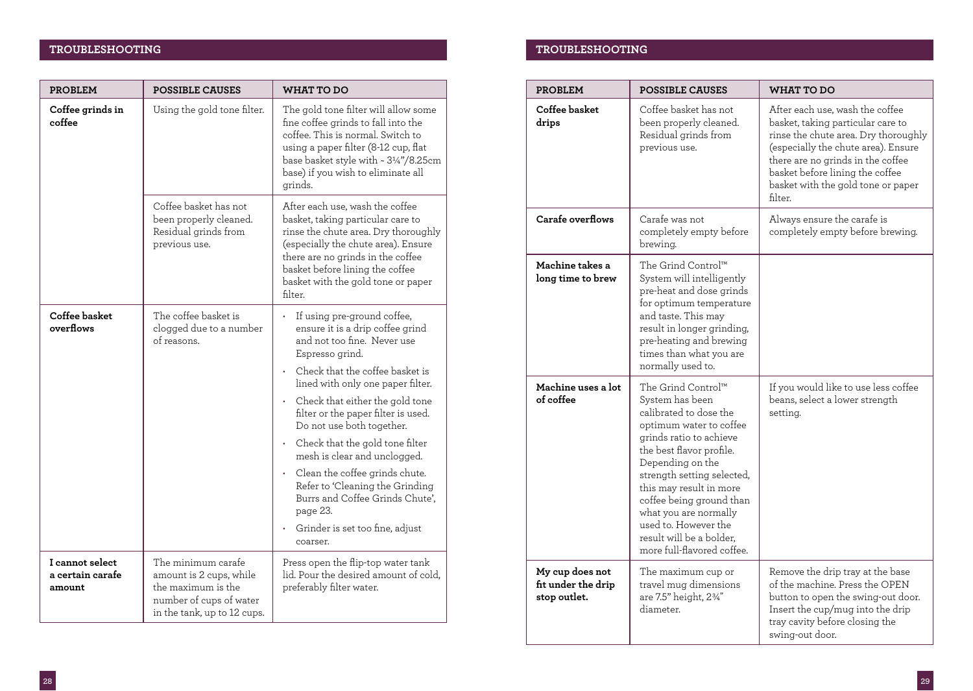## **TROUBLESHOOTING TROUBLESHOOTING**

| <b>PROBLEM</b>                                | <b>POSSIBLE CAUSES</b>                                                                                                        | <b>WHAT TO DO</b>                                                                                                                                                                                                                                                                                                                                                                                                                                                                                                                      |
|-----------------------------------------------|-------------------------------------------------------------------------------------------------------------------------------|----------------------------------------------------------------------------------------------------------------------------------------------------------------------------------------------------------------------------------------------------------------------------------------------------------------------------------------------------------------------------------------------------------------------------------------------------------------------------------------------------------------------------------------|
| Coffee grinds in<br>coffee                    | Using the gold tone filter.                                                                                                   | The gold tone filter will allow some<br>fine coffee grinds to fall into the<br>coffee. This is normal. Switch to<br>using a paper filter (8-12 cup, flat<br>base basket style with ~ 31/4"/8.25cm<br>base) if you wish to eliminate all<br>grinds.                                                                                                                                                                                                                                                                                     |
|                                               | Coffee basket has not<br>been properly cleaned.<br>Residual grinds from<br>previous use.                                      | After each use, wash the coffee<br>basket, taking particular care to<br>rinse the chute area. Dry thoroughly<br>(especially the chute area). Ensure<br>there are no grinds in the coffee<br>basket before lining the coffee<br>basket with the gold tone or paper<br>filter.                                                                                                                                                                                                                                                           |
| Coffee basket<br>overflows                    | The coffee basket is<br>clogged due to a number<br>of reasons.                                                                | If using pre-ground coffee,<br>ensure it is a drip coffee grind<br>and not too fine. Never use<br>Espresso grind.<br>Check that the coffee basket is<br>lined with only one paper filter.<br>Check that either the gold tone<br>filter or the paper filter is used.<br>Do not use both together.<br>Check that the gold tone filter<br>mesh is clear and unclogged.<br>Clean the coffee grinds chute.<br>Refer to 'Cleaning the Grinding<br>Burrs and Coffee Grinds Chute',<br>page 23.<br>Grinder is set too fine, adjust<br>coarser. |
| I cannot select<br>a certain carafe<br>amount | The minimum carafe<br>amount is 2 cups, while<br>the maximum is the<br>number of cups of water<br>in the tank, up to 12 cups. | Press open the flip-top water tank<br>lid. Pour the desired amount of cold.<br>preferably filter water.                                                                                                                                                                                                                                                                                                                                                                                                                                |

| <b>PROBLEM</b>                                        | <b>POSSIBLE CAUSES</b>                                                                                                                                                                                                                                                                                                                                                | WHAT TO DO                                                                                                                                                                                                                                                                   |
|-------------------------------------------------------|-----------------------------------------------------------------------------------------------------------------------------------------------------------------------------------------------------------------------------------------------------------------------------------------------------------------------------------------------------------------------|------------------------------------------------------------------------------------------------------------------------------------------------------------------------------------------------------------------------------------------------------------------------------|
| Coffee basket<br>drips                                | Coffee basket has not<br>been properly cleaned.<br>Residual grinds from<br>previous use.                                                                                                                                                                                                                                                                              | After each use, wash the coffee<br>basket, taking particular care to<br>rinse the chute area. Dry thoroughly<br>(especially the chute area). Ensure<br>there are no grinds in the coffee<br>basket before lining the coffee<br>basket with the gold tone or paper<br>filter. |
| Carafe overflows                                      | Carafe was not<br>completely empty before<br>brewing.                                                                                                                                                                                                                                                                                                                 | Always ensure the carafe is<br>completely empty before brewing.                                                                                                                                                                                                              |
| Machine takes a<br>long time to brew                  | The Grind Control™<br>System will intelligently<br>pre-heat and dose grinds<br>for optimum temperature<br>and taste. This may<br>result in longer grinding,<br>pre-heating and brewing<br>times than what you are<br>normally used to.                                                                                                                                |                                                                                                                                                                                                                                                                              |
| Machine uses a lot<br>of coffee                       | The Grind Control™<br>System has been<br>calibrated to dose the<br>optimum water to coffee<br>grinds ratio to achieve<br>the best flavor profile.<br>Depending on the<br>strength setting selected,<br>this may result in more<br>coffee being ground than<br>what you are normally<br>used to. However the<br>result will be a bolder,<br>more full-flavored coffee. | If you would like to use less coffee<br>beans, select a lower strength<br>setting.                                                                                                                                                                                           |
| My cup does not<br>fit under the drip<br>stop outlet. | The maximum cup or<br>travel mug dimensions<br>are 7.5" height, 2%"<br>diameter.                                                                                                                                                                                                                                                                                      | Remove the drip tray at the base<br>of the machine. Press the OPEN<br>button to open the swing-out door.<br>Insert the cup/mug into the drip<br>tray cavity before closing the<br>swing-out door.                                                                            |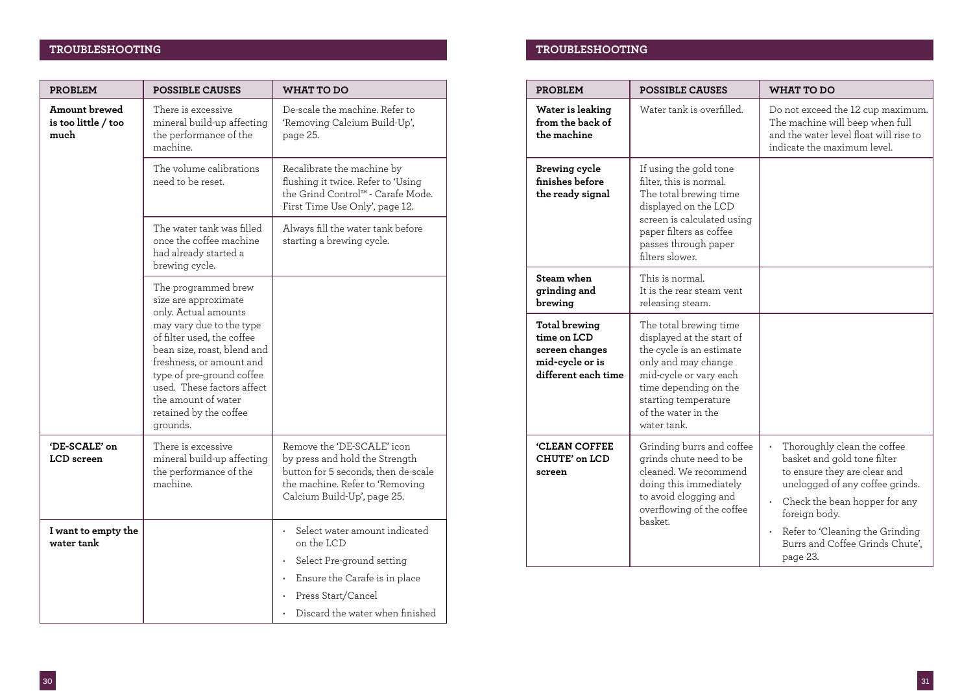## **TROUBLESHOOTING TROUBLESHOOTING**

| <b>PROBLEM</b>                               | <b>POSSIBLE CAUSES</b>                                                                                                                                                                                                                                                                                           | WHAT TO DO                                                                                                                                                            |
|----------------------------------------------|------------------------------------------------------------------------------------------------------------------------------------------------------------------------------------------------------------------------------------------------------------------------------------------------------------------|-----------------------------------------------------------------------------------------------------------------------------------------------------------------------|
| Amount brewed<br>is too little / too<br>much | There is excessive<br>mineral build-up affecting<br>the performance of the<br>machine.                                                                                                                                                                                                                           | De-scale the machine. Refer to<br>'Removing Calcium Build-Up',<br>page 25.                                                                                            |
|                                              | The volume calibrations<br>need to be reset.                                                                                                                                                                                                                                                                     | Recalibrate the machine by<br>flushing it twice. Refer to 'Using<br>the Grind Control™ - Carafe Mode.<br>First Time Use Only', page 12.                               |
|                                              | The water tank was filled<br>once the coffee machine<br>had already started a<br>brewing cycle.                                                                                                                                                                                                                  | Always fill the water tank before<br>starting a brewing cycle.                                                                                                        |
|                                              | The programmed brew<br>size are approximate<br>only. Actual amounts<br>may vary due to the type<br>of filter used, the coffee<br>bean size, roast, blend and<br>freshness, or amount and<br>type of pre-ground coffee<br>used. These factors affect<br>the amount of water<br>retained by the coffee<br>grounds. |                                                                                                                                                                       |
| 'DE-SCALE' on<br>LCD screen                  | There is excessive<br>mineral build-up affecting<br>the performance of the<br>machine.                                                                                                                                                                                                                           | Remove the 'DE-SCALE' icon<br>by press and hold the Strength<br>button for 5 seconds, then de-scale<br>the machine. Refer to 'Removing<br>Calcium Build-Up', page 25. |
| I want to empty the<br>water tank            |                                                                                                                                                                                                                                                                                                                  | Select water amount indicated<br>on the LCD<br>Select Pre-ground setting<br>Ensure the Carafe is in place<br>Press Start/Cancel                                       |
|                                              |                                                                                                                                                                                                                                                                                                                  | Discard the water when finished                                                                                                                                       |

| <b>PROBLEM</b>                                                                                  | <b>POSSIBLE CAUSES</b>                                                                                                                                                                                                  | <b>WHAT TO DO</b>                                                                                                                                                                                                                                                       |
|-------------------------------------------------------------------------------------------------|-------------------------------------------------------------------------------------------------------------------------------------------------------------------------------------------------------------------------|-------------------------------------------------------------------------------------------------------------------------------------------------------------------------------------------------------------------------------------------------------------------------|
| Water is leaking<br>from the back of<br>the machine                                             | Water tank is overfilled.                                                                                                                                                                                               | Do not exceed the 12 cup maximum.<br>The machine will beep when full<br>and the water level float will rise to<br>indicate the maximum level.                                                                                                                           |
| Brewing cycle<br>finishes before<br>the ready signal                                            | If using the gold tone<br>filter, this is normal.<br>The total brewing time<br>displayed on the LCD<br>screen is calculated using<br>paper filters as coffee<br>passes through paper<br>filters slower.                 |                                                                                                                                                                                                                                                                         |
| Steam when<br>grinding and<br>brewing                                                           | This is normal.<br>It is the rear steam vent<br>releasing steam.                                                                                                                                                        |                                                                                                                                                                                                                                                                         |
| <b>Total brewing</b><br>time on LCD<br>screen changes<br>mid-cycle or is<br>different each time | The total brewing time<br>displayed at the start of<br>the cycle is an estimate<br>only and may change<br>mid-cycle or vary each<br>time depending on the<br>starting temperature<br>of the water in the<br>water tank. |                                                                                                                                                                                                                                                                         |
| <b>'CLEAN COFFEE</b><br>CHUTE' on LCD<br>screen                                                 | Grinding burrs and coffee<br>grinds chute need to be<br>cleaned. We recommend<br>doing this immediately<br>to avoid clogging and<br>overflowing of the coffee<br>basket.                                                | Thoroughly clean the coffee<br>basket and gold tone filter<br>to ensure they are clear and<br>unclogged of any coffee grinds.<br>Check the bean hopper for any<br>¥,<br>foreign body.<br>Refer to 'Cleaning the Grinding<br>Burrs and Coffee Grinds Chute'.<br>page 23. |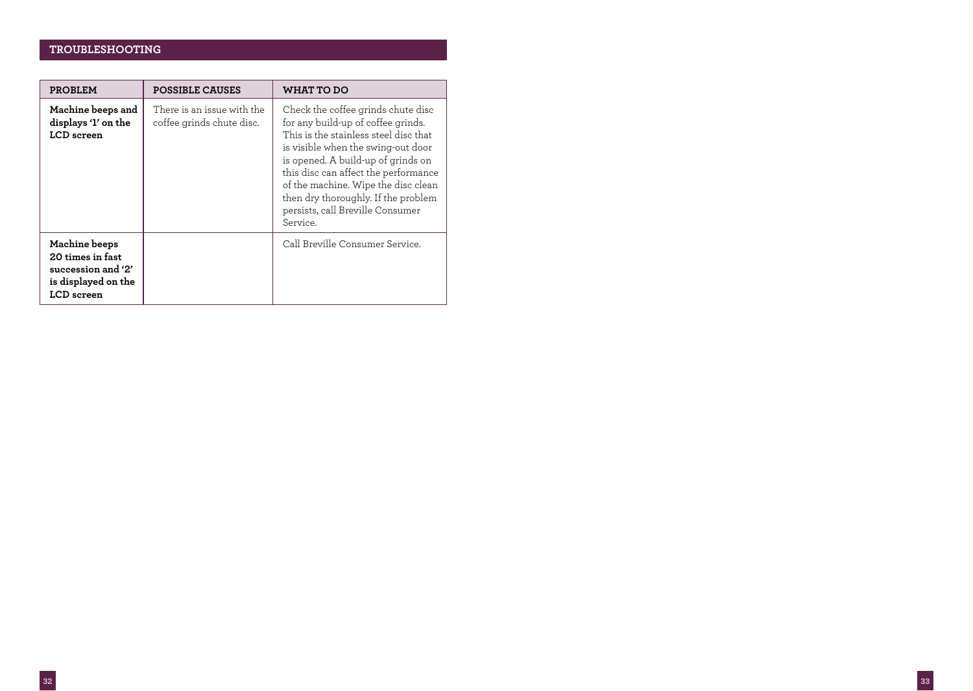## **TROUBLESHOOTING**

| PROBLEM                                                                                             | <b>POSSIBLE CAUSES</b>                                  | WHAT TO DO                                                                                                                                                                                                                                                                                                                                                          |
|-----------------------------------------------------------------------------------------------------|---------------------------------------------------------|---------------------------------------------------------------------------------------------------------------------------------------------------------------------------------------------------------------------------------------------------------------------------------------------------------------------------------------------------------------------|
| Machine beeps and<br>displays '1' on the<br>LCD screen                                              | There is an issue with the<br>coffee grinds chute disc. | Check the coffee grinds chute disc<br>for any build-up of coffee grinds.<br>This is the stainless steel disc that<br>is visible when the swing-out door<br>is opened. A build-up of grinds on<br>this disc can affect the performance<br>of the machine. Wipe the disc clean<br>then dry thoroughly. If the problem<br>persists, call Breville Consumer<br>Service. |
| <b>Machine</b> beeps<br>20 times in fast<br>succession and '2'<br>is displayed on the<br>LCD screen |                                                         | Call Breville Consumer Service.                                                                                                                                                                                                                                                                                                                                     |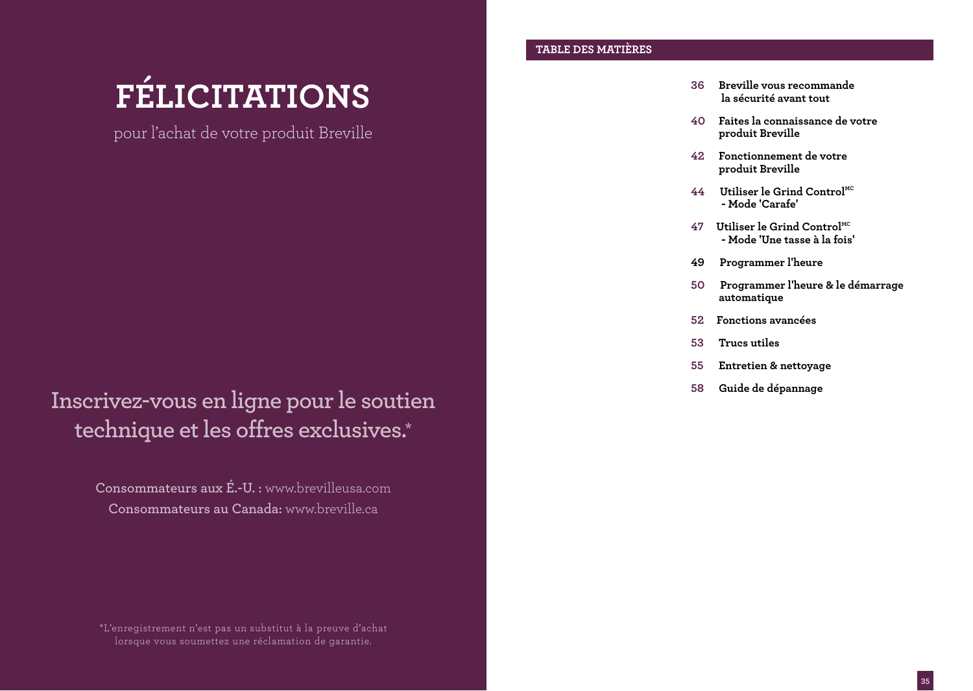# **FÉLICITATIONS**

pour l'achat de votre produit Breville

**Inscrivez-vous en ligne pour le soutien technique et les offres exclusives.\***

> **Consommateurs aux É.-U. :** www.brevilleusa.com **Consommateurs au Canada:** www.breville.ca

## **TABLE DES MATIÈRES**

- **36 Breville vous recommande la sécurité avant tout**
- **40 Faites la connaissance de votre produit Breville**
- **42 Fonctionnement de votre produit Breville**
- **44 Utiliser le Grind ControlMC - Mode 'Carafe'**
- **47 Utiliser le Grind ControlMC - Mode 'Une tasse à la fois'**
- **49 Programmer l'heure**
- **50 Programmer l'heure & le démarrage automatique**
- **52 Fonctions avancées**
- **53 Trucs utiles**
- **55 Entretien & nettoyage**
- **58 Guide de dépannage**

\*L'enregistrement n'est pas un substitut à la preuve d'achat lorsque vous soumettez une réclamation de garantie.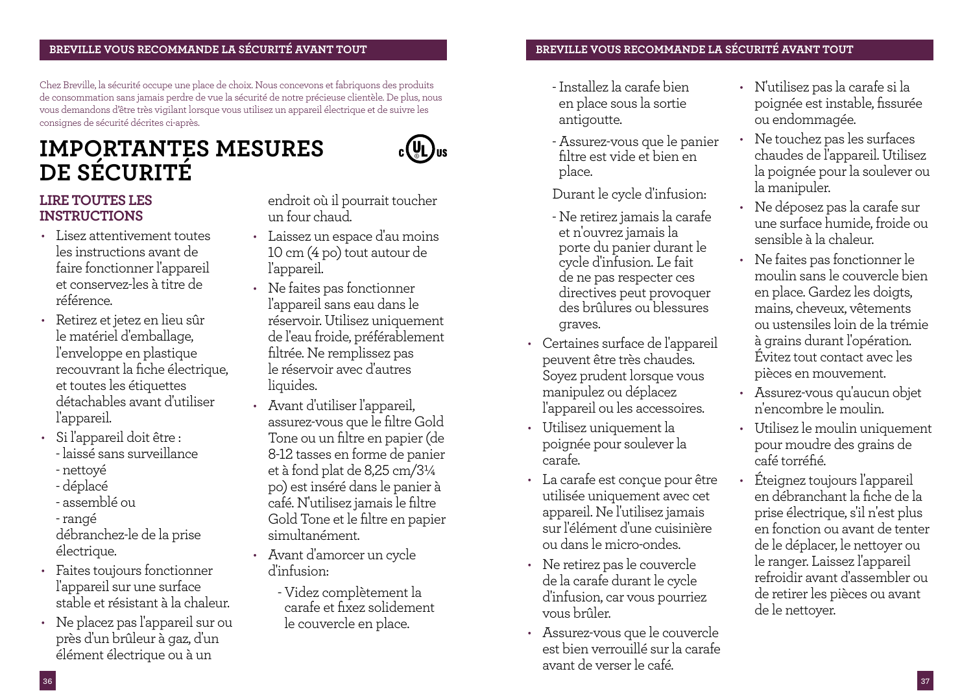## **BREVILLE VOUS RECOMMANDE LA SÉCURITÉ AVANT TO<u>UT <b>EXECULLE DE LA SÉCURITÉ AVANT TOUT** BREVILLE VOUS RECOMMANDE LA SÉCURITÉ AVANT TOUT</u>

Chez Breville, la sécurité occupe une place de choix. Nous concevons et fabriquons des produits de consommation sans jamais perdre de vue la sécurité de notre précieuse clientèle. De plus, nous vous demandons d'être très vigilant lorsque vous utilisez un appareil électrique et de suivre les consignes de sécurité décrites ci-après.

# **IMPORTANTES MESURES DE SÉCURITÉ**



## **LIRE TOUTES LES INSTRUCTIONS**

- Lisez attentivement toutes les instructions avant de faire fonctionner l'appareil et conservez-les à titre de référence.
- Retirez et jetez en lieu sûr le matériel d'emballage, l'enveloppe en plastique recouvrant la fiche électrique, et toutes les étiquettes détachables avant d'utiliser l'appareil.
- Si l'appareil doit être : - laissé sans surveillance
	- nettoyé
	- déplacé
	- assemblé ou
	- rangé

débranchez-le de la prise électrique.

- Faites toujours fonctionner l'appareil sur une surface stable et résistant à la chaleur.
- Ne placez pas l'appareil sur ou près d'un brûleur à gaz, d'un élément électrique ou à un

endroit où il pourrait toucher un four chaud.

- Laissez un espace d'au moins 10 cm (4 po) tout autour de l'appareil.
- Ne faites pas fonctionner l'appareil sans eau dans le réservoir. Utilisez uniquement de l'eau froide, préférablement filtrée. Ne remplissez pas le réservoir avec d'autres liquides.
- Avant d'utiliser l'appareil, assurez-vous que le filtre Gold Tone ou un filtre en papier (de 8-12 tasses en forme de panier et à fond plat de 8,25 cm/3¼ po) est inséré dans le panier à café. N'utilisez jamais le filtre Gold Tone et le filtre en papier simultanément.
- Avant d'amorcer un cycle d'infusion:
	- Videz complètement la carafe et fixez solidement le couvercle en place.

- Installez la carafe bien en place sous la sortie antigoutte.
- Assurez-vous que le panier filtre est vide et bien en place.

Durant le cycle d'infusion:

- Ne retirez jamais la carafe et n'ouvrez jamais la porte du panier durant le cycle d'infusion. Le fait de ne pas respecter ces directives peut provoquer des brûlures ou blessures graves.
- Certaines surface de l'appareil peuvent être très chaudes. Soyez prudent lorsque vous manipulez ou déplacez l'appareil ou les accessoires.
- Utilisez uniquement la poignée pour soulever la carafe.
- La carafe est conçue pour être utilisée uniquement avec cet appareil. Ne l'utilisez jamais sur l'élément d'une cuisinière ou dans le micro-ondes.
- Ne retirez pas le couvercle de la carafe durant le cycle d'infusion, car vous pourriez vous brûler.
- Assurez-vous que le couvercle est bien verrouillé sur la carafe avant de verser le café.
- N'utilisez pas la carafe si la poignée est instable, fissurée ou endommagée.
- Ne touchez pas les surfaces chaudes de l'appareil. Utilisez la poignée pour la soulever ou la manipuler.
- Ne déposez pas la carafe sur une surface humide, froide ou sensible à la chaleur.
- Ne faites pas fonctionner le moulin sans le couvercle bien en place. Gardez les doigts, mains, cheveux, vêtements ou ustensiles loin de la trémie à grains durant l'opération. Évitez tout contact avec les pièces en mouvement.
- Assurez-vous qu'aucun objet n'encombre le moulin.
- Utilisez le moulin uniquement pour moudre des grains de café torréfié.
- Éteignez toujours l'appareil en débranchant la fiche de la prise électrique, s'il n'est plus en fonction ou avant de tenter de le déplacer, le nettoyer ou le ranger. Laissez l'appareil refroidir avant d'assembler ou de retirer les pièces ou avant de le nettoyer.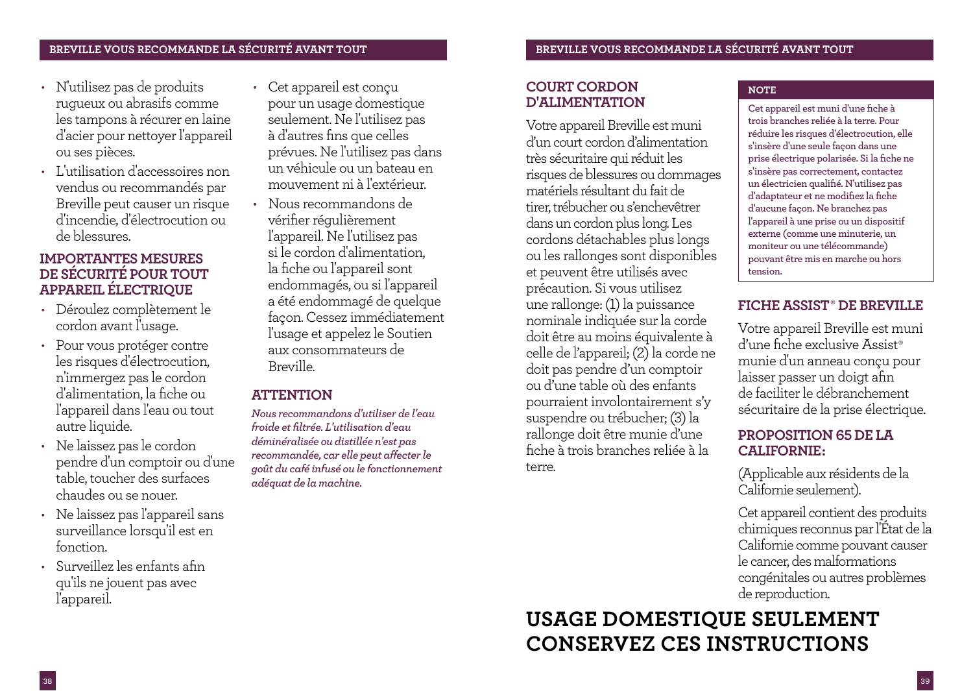- N'utilisez pas de produits rugueux ou abrasifs comme les tampons à récurer en laine d'acier pour nettoyer l'appareil ou ses pièces.
- L'utilisation d'accessoires non vendus ou recommandés par Breville peut causer un risque d'incendie, d'électrocution ou de blessures.

## **IMPORTANTES MESURES DE SÉCURITÉ POUR TOUT APPAREIL ÉLECTRIQUE**

- Déroulez complètement le cordon avant l'usage.
- Pour vous protéger contre les risques d'électrocution, n'immergez pas le cordon d'alimentation, la fiche ou l'appareil dans l'eau ou tout autre liquide.
- Ne laissez pas le cordon pendre d'un comptoir ou d'une table, toucher des surfaces chaudes ou se nouer.
- Ne laissez pas l'appareil sans surveillance lorsqu'il est en fonction.
- Surveillez les enfants afin qu'ils ne jouent pas avec l'appareil.
- Cet appareil est conçu pour un usage domestique seulement. Ne l'utilisez pas à d'autres fins que celles prévues. Ne l'utilisez pas dans un véhicule ou un bateau en mouvement ni à l'extérieur.
- Nous recommandons de vérifier régulièrement l'appareil. Ne l'utilisez pas si le cordon d'alimentation, la fiche ou l'appareil sont endommagés, ou si l'appareil a été endommagé de quelque façon. Cessez immédiatement l'usage et appelez le Soutien aux consommateurs de Breville.

## **ATTENTION**

*Nous recommandons d'utiliser de l'eau froide et filtrée. L'utilisation d'eau déminéralisée ou distillée n'est pas recommandée, car elle peut affecter le goût du café infusé ou le fonctionnement adéquat de la machine.*

## **COURT CORDON D'ALIMENTATION**

Votre appareil Breville est muni d'un court cordon d'alimentation très sécuritaire qui réduit les risques de blessures ou dommages matériels résultant du fait de tirer, trébucher ou s'enchevêtrer dans un cordon plus long. Les cordons détachables plus longs ou les rallonges sont disponibles et peuvent être utilisés avec précaution. Si vous utilisez une rallonge: (1) la puissance nominale indiquée sur la corde doit être au moins équivalente à celle de l'appareil; (2) la corde ne doit pas pendre d'un comptoir ou d'une table où des enfants pourraient involontairement s'y suspendre ou trébucher; (3) la rallonge doit être munie d'une fiche à trois branches reliée à la terre.

## **NOTE**

**Cet appareil est muni d'une fiche à trois branches reliée à la terre. Pour réduire les risques d'électrocution, elle s'insère d'une seule façon dans une prise électrique polarisée. Si la fiche ne s'insère pas correctement, contactez un électricien qualifié. N'utilisez pas d'adaptateur et ne modifiez la fiche d'aucune façon. Ne branchez pas l'appareil à une prise ou un dispositif externe (comme une minuterie, un moniteur ou une télécommande) pouvant être mis en marche ou hors tension.**

## **FICHE ASSIST‰ DE BREVILLE**

Votre appareil Breville est muni d'une fiche exclusive Assist‰ munie d'un anneau conçu pour laisser passer un doigt afin de faciliter le débranchement sécuritaire de la prise électrique.

## **PROPOSITION 65 DE LA CALIFORNIE:**

(Applicable aux résidents de la Californie seulement).

Cet appareil contient des produits chimiques reconnus par l'État de la Californie comme pouvant causer le cancer, des malformations congénitales ou autres problèmes de reproduction.

# **USAGE DOMESTIQUE SEULEMENT CONSERVEZ CES INSTRUCTIONS**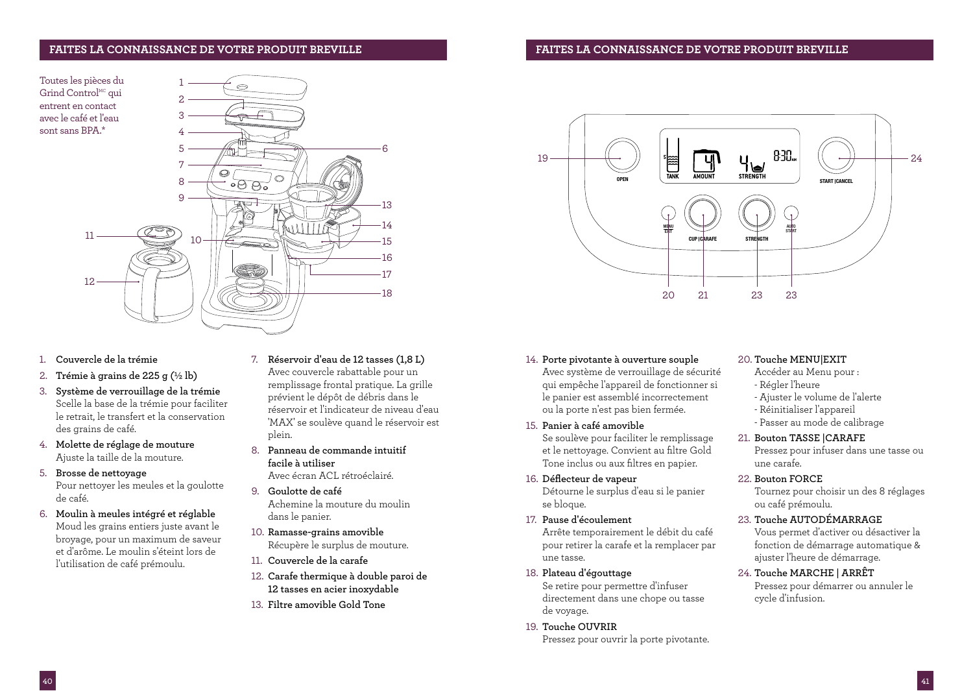### **FAITES LA CONNAISSANCE DE VOTRE PRODUIT BREVILLE FAITES LA CONNAISSANCE DE VOTRE PRODUIT BREVILLE**

1

Toutes les pièces du Grind Control<sup>MC</sup> qui entrent en contact avec le café et l'eau sont sans BPA.\*



 $\circ$ 

- 1. **Couvercle de la trémie**
- 2. **Trémie à grains de 225 g (½ lb)**
- 3. **Système de verrouillage de la trémie**  Scelle la base de la trémie pour faciliter le retrait, le transfert et la conservation des grains de café.
- 4. **Molette de réglage de mouture**  Ajuste la taille de la mouture.
- 5. **Brosse de nettoyage**  Pour nettoyer les meules et la goulotte de café.
- 6. **Moulin à meules intégré et réglable**  Moud les grains entiers juste avant le broyage, pour un maximum de saveur et d'arôme. Le moulin s'éteint lors de l'utilisation de café prémoulu.
- 7. **Réservoir d'eau de 12 tasses (1,8 L)**  Avec couvercle rabattable pour un remplissage frontal pratique. La grille prévient le dépôt de débris dans le réservoir et l'indicateur de niveau d'eau 'MAX' se soulève quand le réservoir est plein.
- 8. **Panneau de commande intuitif facile à utiliser** Avec écran ACL rétroéclairé.
- 9. **Goulotte de café**  Achemine la mouture du moulin dans le panier.
- 10. **Ramasse-grains amovible**  Récupère le surplus de mouture.
- 11. **Couvercle de la carafe**
- 12. **Carafe thermique à double paroi de 12 tasses en acier inoxydable**
- 13. **Filtre amovible Gold Tone**



- 14. **Porte pivotante à ouverture souple**  Avec système de verrouillage de sécurité qui empêche l'appareil de fonctionner si le panier est assemblé incorrectement ou la porte n'est pas bien fermée.
- 15. **Panier à café amovible**  Se soulève pour faciliter le remplissage et le nettoyage. Convient au filtre Gold Tone inclus ou aux filtres en papier.
- 16. **Déflecteur de vapeur**  Détourne le surplus d'eau si le panier se bloque.
- 17. **Pause d'écoulement**  Arrête temporairement le débit du café pour retirer la carafe et la remplacer par une tasse.
- 18. **Plateau d'égouttage**  Se retire pour permettre d'infuser directement dans une chope ou tasse de voyage.
- 19. **Touche OUVRIR**  Pressez pour ouvrir la porte pivotante.

### 20. **Touche MENU|EXIT**

- Accéder au Menu pour : - Régler l'heure
	-
	- Ajuster le volume de l'alerte
	- Réinitialiser l'appareil
	- Passer au mode de calibrage

## 21. **Bouton TASSE |CARAFE**

Pressez pour infuser dans une tasse ou une carafe.

22. **Bouton FORCE** 

Tournez pour choisir un des 8 réglages ou café prémoulu.

23. **Touche AUTODÉMARRAGE** 

Vous permet d'activer ou désactiver la fonction de démarrage automatique & ajuster l'heure de démarrage.

24. **Touche MARCHE | ARRÊT**  Pressez pour démarrer ou annuler le cycle d'infusion.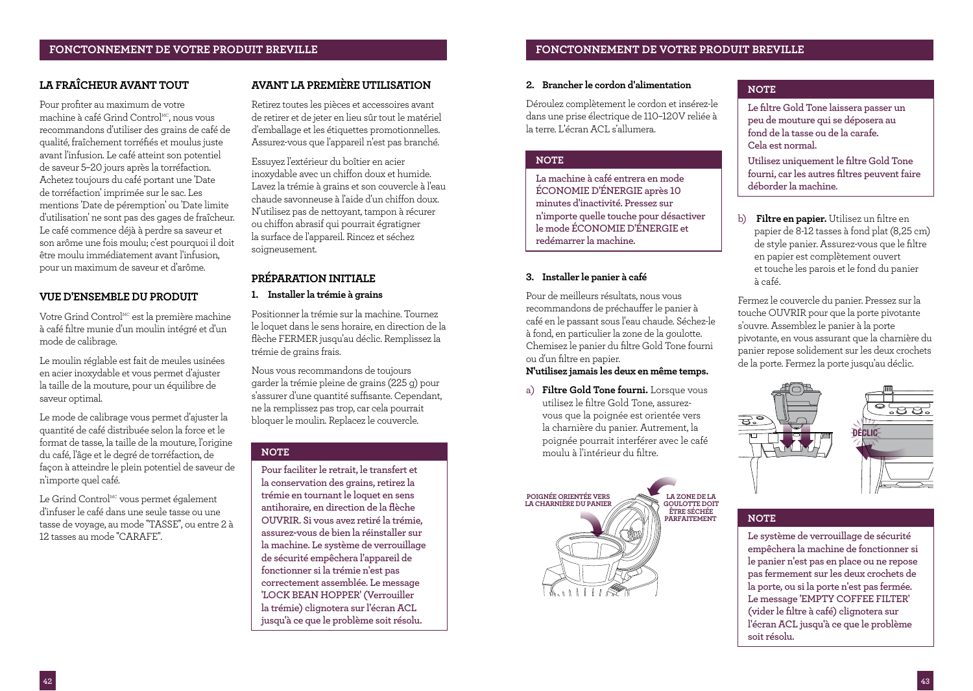## **LA FRAÎCHEUR AVANT TOUT**

Pour profiter au maximum de votre machine à café Grind Control<sup>MC</sup>, nous vous recommandons d'utiliser des grains de café de qualité, fraîchement torréfiés et moulus juste avant l'infusion. Le café atteint son potentiel de saveur 5–20 jours après la torréfaction. Achetez toujours du café portant une 'Date de torréfaction' imprimée sur le sac. Les mentions 'Date de péremption' ou 'Date limite d'utilisation' ne sont pas des gages de fraîcheur. Le café commence déjà à perdre sa saveur et son arôme une fois moulu; c'est pourquoi il doit être moulu immédiatement avant l'infusion, pour un maximum de saveur et d'arôme.

## **VUE D'ENSEMBLE DU PRODUIT**

Votre Grind Control<sup>MC</sup> est la première machine à café filtre munie d'un moulin intégré et d'un mode de calibrage.

Le moulin réglable est fait de meules usinées en acier inoxydable et vous permet d'ajuster la taille de la mouture, pour un équilibre de saveur optimal.

Le mode de calibrage vous permet d'ajuster la quantité de café distribuée selon la force et le format de tasse, la taille de la mouture, l'origine du café, l'âge et le degré de torréfaction, de façon à atteindre le plein potentiel de saveur de n'importe quel café.

Le Grind Control<sup>MC</sup> vous permet également d'infuser le café dans une seule tasse ou une tasse de voyage, au mode ''TASSE'', ou entre 2 à 12 tasses au mode ''CARAFE''.

## **AVANT LA PREMIÈRE UTILISATION**

Retirez toutes les pièces et accessoires avant de retirer et de jeter en lieu sûr tout le matériel d'emballage et les étiquettes promotionnelles. Assurez-vous que l'appareil n'est pas branché.

Essuyez l'extérieur du boîtier en acier inoxydable avec un chiffon doux et humide. Lavez la trémie à grains et son couvercle à l'eau chaude savonneuse à l'aide d'un chiffon doux. N'utilisez pas de nettoyant, tampon à récurer ou chiffon abrasif qui pourrait égratigner la surface de l'appareil. Rincez et séchez soigneusement.

## **PRÉPARATION INITIALE**

## **1. Installer la trémie à grains**

Positionner la trémie sur la machine. Tournez le loquet dans le sens horaire, en direction de la flèche FERMER jusqu'au déclic. Remplissez la trémie de grains frais.

Nous vous recommandons de toujours garder la trémie pleine de grains (225 g) pour s'assurer d'une quantité suffisante. Cependant, ne la remplissez pas trop, car cela pourrait bloquer le moulin. Replacez le couvercle.

### **NOTE**

**Pour faciliter le retrait, le transfert et la conservation des grains, retirez la trémie en tournant le loquet en sens antihoraire, en direction de la flèche OUVRIR. Si vous avez retiré la trémie, assurez-vous de bien la réinstaller sur la machine. Le système de verrouillage de sécurité empêchera l'appareil de fonctionner si la trémie n'est pas correctement assemblée. Le message 'LOCK BEAN HOPPER' (Verrouiller la trémie) clignotera sur l'écran ACL jusqu'à ce que le problème soit résolu.**

## **FONCTONNEMENT DE VOTRE PRODUIT BREVILLE FONCTONNEMENT DE VOTRE PRODUIT BREVILLE**

## **2. Brancher le cordon d'alimentation**

Déroulez complètement le cordon et insérez-le dans une prise électrique de 110–120V reliée à la terre. L'écran ACL s'allumera.

## **NOTE**

**La machine à café entrera en mode ÉCONOMIE D'ÉNERGIE après 10 minutes d'inactivité. Pressez sur n'importe quelle touche pour désactiver le mode ÉCONOMIE D'ÉNERGIE et redémarrer la machine.**

## **3. Installer le panier à café**

Pour de meilleurs résultats, nous vous recommandons de préchauffer le panier à café en le passant sous l'eau chaude. Séchez-le à fond, en particulier la zone de la goulotte. Chemisez le panier du filtre Gold Tone fourni ou d'un filtre en papier.

### **N'utilisez jamais les deux en même temps.**

a) **Filtre Gold Tone fourni.** Lorsque vous utilisez le filtre Gold Tone, assurezvous que la poignée est orientée vers la charnière du panier. Autrement, la poignée pourrait interférer avec le café moulu à l'intérieur du filtre.



## **NOTE**

**Le filtre Gold Tone laissera passer un peu de mouture qui se déposera au fond de la tasse ou de la carafe. Cela est normal.**

**Utilisez uniquement le filtre Gold Tone fourni, car les autres filtres peuvent faire déborder la machine.**

b) **Filtre en papier.** Utilisez un filtre en papier de 8-12 tasses à fond plat (8,25 cm) de style panier. Assurez-vous que le filtre en papier est complètement ouvert et touche les parois et le fond du panier à café.

Fermez le couvercle du panier. Pressez sur la touche OUVRIR pour que la porte pivotante s'ouvre. Assemblez le panier à la porte pivotante, en vous assurant que la charnière du panier repose solidement sur les deux crochets de la porte. Fermez la porte jusqu'au déclic.



### **NOTE**

**Le système de verrouillage de sécurité empêchera la machine de fonctionner si le panier n'est pas en place ou ne repose pas fermement sur les deux crochets de la porte, ou si la porte n'est pas fermée. Le message 'EMPTY COFFEE FILTER' (vider le filtre à café) clignotera sur l'écran ACL jusqu'à ce que le problème soit résolu.**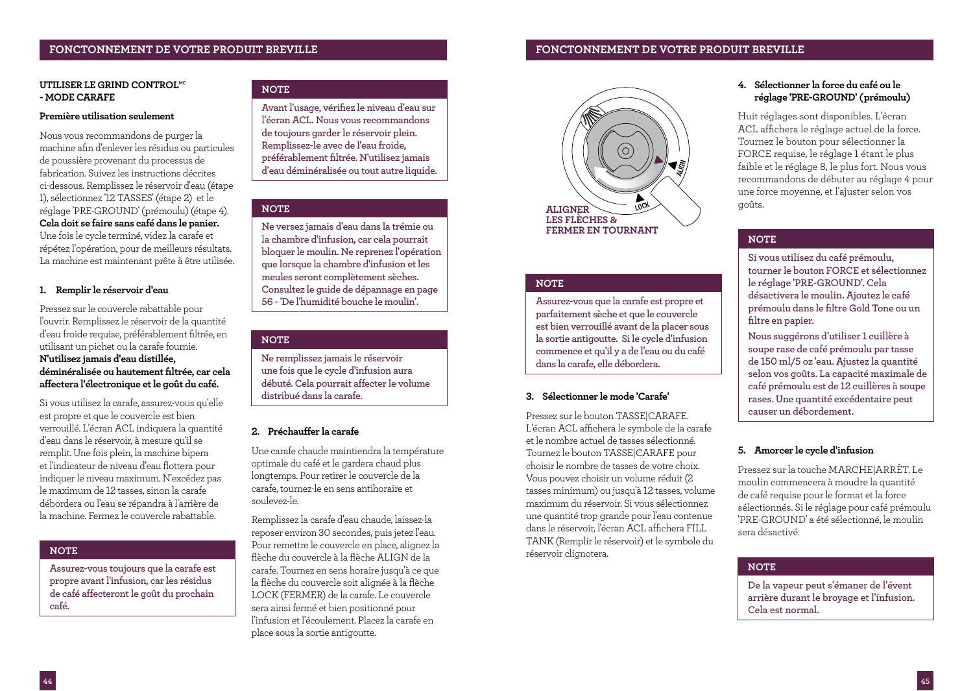### **UTILISER LE GRIND CONTROLMC - MODE CARAFE**

### **Première utilisation seulement**

Nous vous recommandons de purger la machine afin d'enlever les résidus ou particules de poussière provenant du processus de fabrication. Suivez les instructions décrites ci-dessous. Remplissez le réservoir d'eau (étape 1), sélectionnez '12 TASSES' (étape 2) et le réglage 'PRE-GROUND' (prémoulu) (étape 4). **Cela doit se faire sans café dans le panier.** Une fois le cycle terminé, videz la carafe et répétez l'opération, pour de meilleurs résultats. La machine est maintenant prête à être utilisée.

## **1. Remplir le réservoir d'eau**

Pressez sur le couvercle rabattable pour l'ouvrir. Remplissez le réservoir de la quantité d'eau froide requise, préférablement filtrée, en utilisant un pichet ou la carafe fournie. **N'utilisez jamais d'eau distillée,** 

**déminéralisée ou hautement filtrée, car cela affectera l'électronique et le goût du café.**

Si vous utilisez la carafe, assurez-vous qu'elle est propre et que le couvercle est bien verrouillé. L'écran ACL indiquera la quantité d'eau dans le réservoir, à mesure qu'il se remplit. Une fois plein, la machine bipera et l'indicateur de niveau d'eau flottera pour indiquer le niveau maximum. N'excédez pas le maximum de 12 tasses, sinon la carafe débordera ou l'eau se répandra à l'arrière de la machine. Fermez le couvercle rabattable.

## **NOTE**

**Assurez-vous toujours que la carafe est propre avant l'infusion, car les résidus de café affecteront le goût du prochain café.**

## **NOTE**

**Avant l'usage, vérifiez le niveau d'eau sur l'écran ACL. Nous vous recommandons de toujours garder le réservoir plein. Remplissez-le avec de l'eau froide, préférablement filtrée. N'utilisez jamais d'eau déminéralisée ou tout autre liquide.**

## **NOTE**

**Ne versez jamais d'eau dans la trémie ou la chambre d'infusion, car cela pourrait bloquer le moulin. Ne reprenez l'opération que lorsque la chambre d'infusion et les meules seront complètement sèches. Consultez le guide de dépannage en page 56 - 'De l'humidité bouche le moulin'.**

### **NOTE**

**Ne remplissez jamais le réservoir une fois que le cycle d'infusion aura débuté. Cela pourrait affecter le volume distribué dans la carafe.**

## **2. Préchauffer la carafe**

Une carafe chaude maintiendra la température optimale du café et le gardera chaud plus longtemps. Pour retirer le couvercle de la carafe, tournez-le en sens antihoraire et soulevez-le.

Remplissez la carafe d'eau chaude, laissez-la reposer environ 30 secondes, puis jetez l'eau. Pour remettre le couvercle en place, alignez la flèche du couvercle à la flèche ALIGN de la carafe. Tournez en sens horaire jusqu'à ce que la flèche du couvercle soit alignée à la flèche LOCK (FERMER) de la carafe. Le couvercle sera ainsi fermé et bien positionné pour l'infusion et l'écoulement. Placez la carafe en place sous la sortie antigoutte.



## **NOTE**

**Assurez-vous que la carafe est propre et parfaitement sèche et que le couvercle est bien verrouillé avant de la placer sous la sortie antigoutte. Si le cycle d'infusion commence et qu'il y a de l'eau ou du café dans la carafe, elle débordera.**

## **3. Sélectionner le mode 'Carafe'**

Pressez sur le bouton TASSE|CARAFE. L'écran ACL affichera le symbole de la carafe et le nombre actuel de tasses sélectionné. Tournez le bouton TASSE|CARAFE pour choisir le nombre de tasses de votre choix. Vous pouvez choisir un volume réduit (2 tasses minimum) ou jusqu'à 12 tasses, volume maximum du réservoir. Si vous sélectionnez une quantité trop grande pour l'eau contenue dans le réservoir, l'écran ACL affichera FILL TANK (Remplir le réservoir) et le symbole du réservoir clignotera.

## **FONCTONNEMENT DE VOTRE PRODUIT BREVILLE FONCTONNEMENT DE VOTRE PRODUIT BREVILLE**

## **4. Sélectionner la force du café ou le réglage 'PRE-GROUND' (prémoulu)**

Huit réglages sont disponibles. L'écran ACL affichera le réglage actuel de la force. Tournez le bouton pour sélectionner la FORCE requise, le réglage 1 étant le plus faible et le réglage 8, le plus fort. Nous vous recommandons de débuter au réglage 4 pour une force moyenne, et l'ajuster selon vos goûts.

## **NOTE**

**Si vous utilisez du café prémoulu, tourner le bouton FORCE et sélectionnez le réglage 'PRE-GROUND'. Cela désactivera le moulin. Ajoutez le café prémoulu dans le filtre Gold Tone ou un filtre en papier.** 

**Nous suggérons d'utiliser 1 cuillère à soupe rase de café prémoulu par tasse de 150 ml/5 oz 'eau. Ajustez la quantité selon vos goûts. La capacité maximale de café prémoulu est de 12 cuillères à soupe rases. Une quantité excédentaire peut causer un débordement.**

## **5. Amorcer le cycle d'infusion**

Pressez sur la touche MARCHE|ARRÊT. Le moulin commencera à moudre la quantité de café requise pour le format et la force sélectionnés. Si le réglage pour café prémoulu 'PRE-GROUND' a été sélectionné, le moulin sera désactivé.

## **NOTE**

**De la vapeur peut s'émaner de l'évent arrière durant le broyage et l'infusion. Cela est normal.**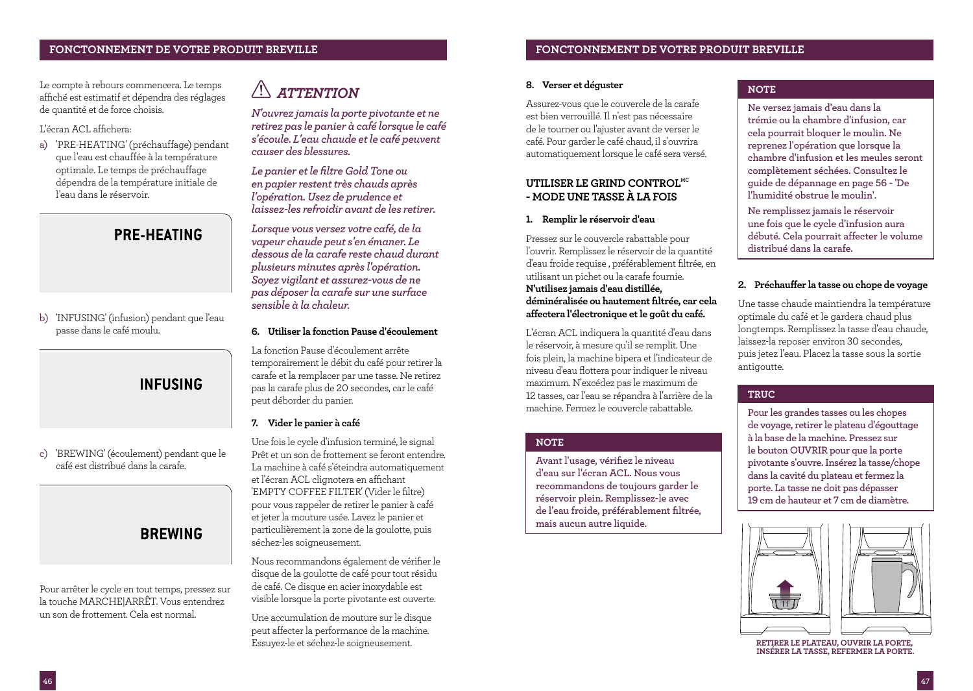Le compte à rebours commencera. Le temps affiché est estimatif et dépendra des réglages de quantité et de force choisis.

## L'écran ACL affichera:

a) 'PRE-HEATING' (préchauffage) pendant que l'eau est chauffée à la température optimale. Le temps de préchauffage dépendra de la température initiale de l'eau dans le réservoir.

## **PRE-HEATING**

b) 'INFUSING' (infusion) pendant que l'eau passe dans le café moulu.

## **INFUSING**

c) 'BREWING' (écoulement) pendant que le café est distribué dans la carafe.

## **BREWING**

Pour arrêter le cycle en tout temps, pressez sur la touche MARCHE|ARRÊT. Vous entendrez un son de frottement. Cela est normal.

## $\sqrt{1}$  *ATTENTION*

*N'ouvrez jamais la porte pivotante et ne retirez pas le panier à café lorsque le café s'écoule. L'eau chaude et le café peuvent causer des blessures.*

*Le panier et le filtre Gold Tone ou en papier restent très chauds après l'opération. Usez de prudence et laissez-les refroidir avant de les retirer.*

*Lorsque vous versez votre café, de la vapeur chaude peut s'en émaner. Le dessous de la carafe reste chaud durant plusieurs minutes après l'opération. Soyez vigilant et assurez-vous de ne pas déposer la carafe sur une surface sensible à la chaleur.* 

## **6. Utiliser la fonction Pause d'écoulement**

La fonction Pause d'écoulement arrête temporairement le débit du café pour retirer la carafe et la remplacer par une tasse. Ne retirez pas la carafe plus de 20 secondes, car le café peut déborder du panier.

## **7. Vider le panier à café**

Une fois le cycle d'infusion terminé, le signal Prêt et un son de frottement se feront entendre. La machine à café s'éteindra automatiquement et l'écran ACL clignotera en affichant 'EMPTY COFFEE FILTER' (Vider le filtre) pour vous rappeler de retirer le panier à café et jeter la mouture usée. Lavez le panier et particulièrement la zone de la goulotte, puis séchez-les soigneusement.

Nous recommandons également de vérifier le disque de la goulotte de café pour tout résidu de café. Ce disque en acier inoxydable est visible lorsque la porte pivotante est ouverte.

Une accumulation de mouture sur le disque peut affecter la performance de la machine. Essuyez-le et séchez-le soigneusement.

## **8. Verser et déguster**

Assurez-vous que le couvercle de la carafe est bien verrouillé. Il n'est pas nécessaire de le tourner ou l'ajuster avant de verser le café. Pour garder le café chaud, il s'ouvrira automatiquement lorsque le café sera versé.

## **UTILISER LE GRIND CONTROLMC - MODE UNE TASSE À LA FOIS**

## **1. Remplir le réservoir d'eau**

Pressez sur le couvercle rabattable pour l'ouvrir. Remplissez le réservoir de la quantité d'eau froide requise , préférablement filtrée, en utilisant un pichet ou la carafe fournie. **N'utilisez jamais d'eau distillée, déminéralisée ou hautement filtrée, car cela affectera l'électronique et le goût du café.**

L'écran ACL indiquera la quantité d'eau dans le réservoir, à mesure qu'il se remplit. Une fois plein, la machine bipera et l'indicateur de niveau d'eau flottera pour indiquer le niveau maximum. N'excédez pas le maximum de 12 tasses, car l'eau se répandra à l'arrière de la machine. Fermez le couvercle rabattable.

## **NOTE**

**Avant l'usage, vérifiez le niveau d'eau sur l'écran ACL. Nous vous recommandons de toujours garder le réservoir plein. Remplissez-le avec de l'eau froide, préférablement filtrée, mais aucun autre liquide.** 

## **NOTE**

**Ne versez jamais d'eau dans la trémie ou la chambre d'infusion, car cela pourrait bloquer le moulin. Ne reprenez l'opération que lorsque la chambre d'infusion et les meules seront complètement séchées. Consultez le guide de dépannage en page 56 - 'De l'humidité obstrue le moulin'.**

**Ne remplissez jamais le réservoir une fois que le cycle d'infusion aura débuté. Cela pourrait affecter le volume distribué dans la carafe.**

## **2. Préchauffer la tasse ou chope de voyage**

Une tasse chaude maintiendra la température optimale du café et le gardera chaud plus longtemps. Remplissez la tasse d'eau chaude, laissez-la reposer environ 30 secondes, puis jetez l'eau. Placez la tasse sous la sortie antigoutte.

## **TRUC**

**Pour les grandes tasses ou les chopes de voyage, retirer le plateau d'égouttage à la base de la machine. Pressez sur le bouton OUVRIR pour que la porte pivotante s'ouvre. Insérez la tasse/chope dans la cavité du plateau et fermez la porte. La tasse ne doit pas dépasser 19 cm de hauteur et 7 cm de diamètre.**



**RETIRER LE PLATEAU, OUVRIR LA PORTE, INSÉRER LA TASSE, REFERMER LA PORTE.**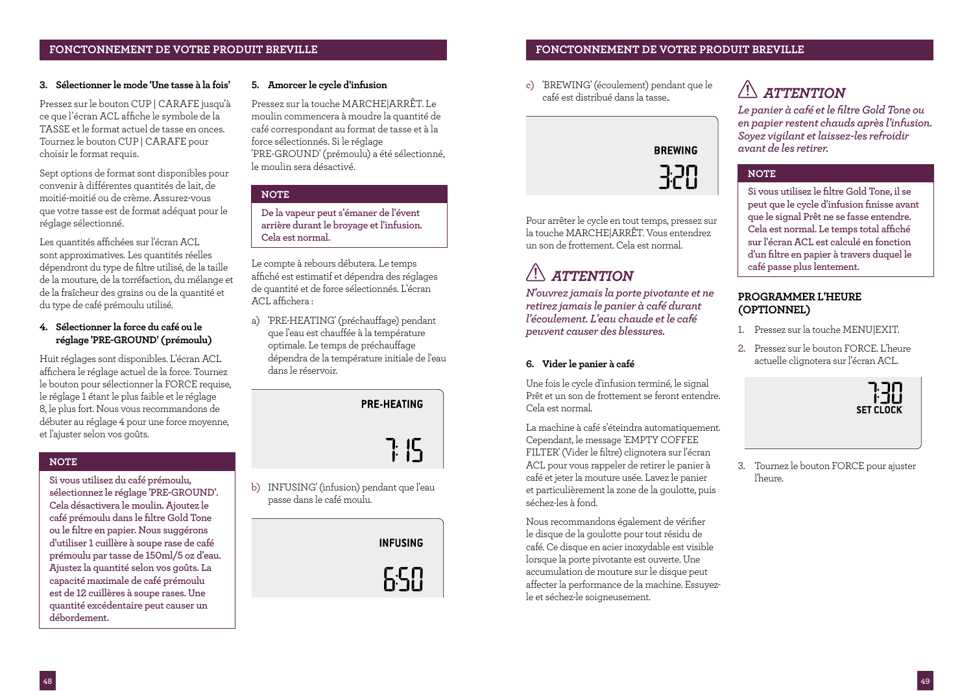## **FONCTONNEMENT DE VOTRE PRODUIT BREVILLE FONCTONNEMENT DE VOTRE PRODUIT BREVILLE**

## **3. Sélectionner le mode 'Une tasse à la fois'**

Pressez sur le bouton CUP | CARAFE jusqu'à ce que l'écran ACL affiche le symbole de la TASSE et le format actuel de tasse en onces. Tournez le bouton CUP | CARAFE pour choisir le format requis.

Sept options de format sont disponibles pour convenir à différentes quantités de lait, de moitié-moitié ou de crème. Assurez-vous que votre tasse est de format adéquat pour le réglage sélectionné.

Les quantités affichées sur l'écran ACL sont approximatives. Les quantités réelles dépendront du type de filtre utilisé, de la taille de la mouture, de la torréfaction, du mélange et de la fraîcheur des grains ou de la quantité et du type de café prémoulu utilisé.

## **4. Sélectionner la force du café ou le réglage 'PRE-GROUND' (prémoulu)**

Huit réglages sont disponibles. L'écran ACL affichera le réglage actuel de la force. Tournez le bouton pour sélectionner la FORCE requise, le réglage 1 étant le plus faible et le réglage 8, le plus fort. Nous vous recommandons de débuter au réglage 4 pour une force moyenne, et l'ajuster selon vos goûts.

## **NOTE**

**Si vous utilisez du café prémoulu, sélectionnez le réglage 'PRE-GROUND'. Cela désactivera le moulin. Ajoutez le café prémoulu dans le filtre Gold Tone ou le filtre en papier. Nous suggérons d'utiliser 1 cuillère à soupe rase de café prémoulu par tasse de 150ml/5 oz d'eau. Ajustez la quantité selon vos goûts. La capacité maximale de café prémoulu est de 12 cuillères à soupe rases. Une quantité excédentaire peut causer un débordement.**

### **5. Amorcer le cycle d'infusion**

Pressez sur la touche MARCHE|ARRÊT. Le moulin commencera à moudre la quantité de café correspondant au format de tasse et à la force sélectionnés. Si le réglage 'PRE-GROUND' (prémoulu) a été sélectionné, le moulin sera désactivé.

## **NOTE**

**De la vapeur peut s'émaner de l'évent arrière durant le broyage et l'infusion. Cela est normal.**

Le compte à rebours débutera. Le temps affiché est estimatif et dépendra des réglages de quantité et de force sélectionnés. L'écran ACL affichera :

a) 'PRE-HEATING' (préchauffage) pendant que l'eau est chauffée à la température optimale. Le temps de préchauffage dépendra de la température initiale de l'eau dans le réservoir.



b) INFUSING' (infusion) pendant que l'eau passe dans le café moulu.

> **INFUSING** 658

c) 'BREWING' (écoulement) pendant que le café est distribué dans la tasse..



Pour arrêter le cycle en tout temps, pressez sur la touche MARCHE|ARRÊT. Vous entendrez un son de frottement. Cela est normal.

# *ATTENTION*

*N'ouvrez jamais la porte pivotante et ne retirez jamais le panier à café durant l'écoulement. L'eau chaude et le café peuvent causer des blessures.* 

## **6. Vider le panier à café**

Une fois le cycle d'infusion terminé, le signal Prêt et un son de frottement se feront entendre. Cela est normal.

La machine à café s'éteindra automatiquement. Cependant, le message 'EMPTY COFFEE FILTER' (Vider le filtre) clignotera sur l'écran ACL pour vous rappeler de retirer le panier à café et jeter la mouture usée. Lavez le panier et particulièrement la zone de la goulotte, puis séchez-les à fond.

Nous recommandons également de vérifier le disque de la goulotte pour tout résidu de café. Ce disque en acier inoxydable est visible lorsque la porte pivotante est ouverte. Une accumulation de mouture sur le disque peut affecter la performance de la machine. Essuyezle et séchez-le soigneusement.

# $\sqrt{2}$  *ATTENTION*

*Le panier à café et le filtre Gold Tone ou en papier restent chauds après l'infusion. Soyez vigilant et laissez-les refroidir avant de les retirer.* 

## **NOTE**

**Si vous utilisez le filtre Gold Tone, il se peut que le cycle d'infusion finisse avant que le signal Prêt ne se fasse entendre. Cela est normal. Le temps total affiché sur l'écran ACL est calculé en fonction d'un filtre en papier à travers duquel le café passe plus lentement.** 

## **PROGRAMMER L'HEURE (OPTIONNEL)**

- 1. Pressez sur la touche MENU|EXIT.
- 2. Pressez sur le bouton FORCE. L'heure actuelle clignotera sur l'écran ACL.



3. Tournez le bouton FORCE pour ajuster l'heure.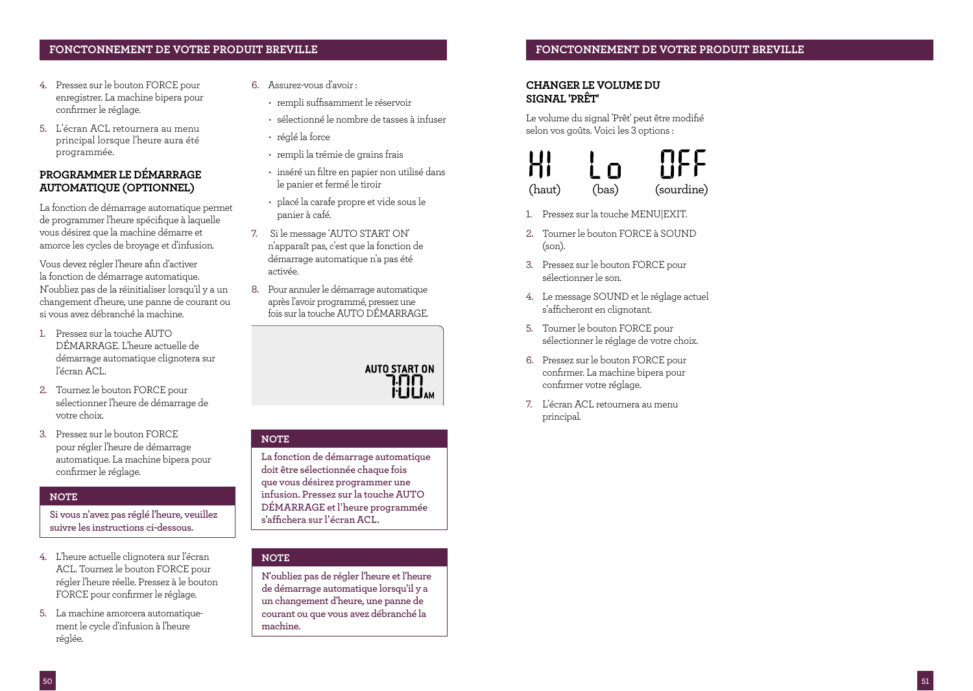## **FONCTONNEMENT DE VOTRE PRODUIT BREVILLE FONCTONNEMENT DE VOTRE PRODUIT BREVILLE**

- 4. Pressez sur le bouton FORCE pour enregistrer. La machine bipera pour confirmer le réglage.
- 5. L'écran ACL retournera au menu principal lorsque l'heure aura été programmée.

## **PROGRAMMER LE DÉMARRAGE AUTOMATIQUE (OPTIONNEL)**

La fonction de démarrage automatique permet de programmer l'heure spécifique à laquelle vous désirez que la machine démarre et amorce les cycles de broyage et d'infusion.

Vous devez régler l'heure afin d'activer la fonction de démarrage automatique. N'oubliez pas de la réinitialiser lorsqu'il y a un changement d'heure, une panne de courant ou si vous avez débranché la machine.

- 1. Pressez sur la touche AUTO DÉMARRAGE. L'heure actuelle de démarrage automatique clignotera sur l'écran ACL.
- 2. Tournez le bouton FORCE pour sélectionner l'heure de démarrage de votre choix.
- 3. Pressez sur le bouton FORCE pour régler l'heure de démarrage automatique. La machine bipera pour confirmer le réglage.

## **NOTE**

**Si vous n'avez pas réglé l'heure, veuillez suivre les instructions ci-dessous.**

- 4. L'heure actuelle clignotera sur l'écran ACL. Tournez le bouton FORCE pour régler l'heure réelle. Pressez à le bouton FORCE pour confirmer le réglage.
- 5. La machine amorcera automatiquement le cycle d'infusion à l'heure réglée.
- 6. Assurez-vous d'avoir :
	- rempli suffisamment le réservoir
	- sélectionné le nombre de tasses à infuser
	- réglé la force
	- rempli la trémie de grains frais
	- inséré un filtre en papier non utilisé dans le panier et fermé le tiroir
	- placé la carafe propre et vide sous le panier à café.
- 7. Si le message 'AUTO START ON' n'apparaît pas, c'est que la fonction de démarrage automatique n'a pas été activée.
- 8. Pour annuler le démarrage automatique après l'avoir programmé, pressez une fois sur la touche AUTO DÉMARRAGE.



### **NOTE**

**La fonction de démarrage automatique doit être sélectionnée chaque fois que vous désirez programmer une infusion. Pressez sur la touche AUTO DÉMARRAGE et l'heure programmée s'affichera sur l'écran ACL.**

### **NOTE**

**N'oubliez pas de régler l'heure et l'heure de démarrage automatique lorsqu'il y a un changement d'heure, une panne de courant ou que vous avez débranché la machine.**

## **CHANGER LE VOLUME DU SIGNAL 'PRÊT'**

Le volume du signal 'Prêt' peut être modifié selon vos goûts. Voici les 3 options :



- 1. Pressez sur la touche MENU|EXIT.
- 2. Tourner le bouton FORCE à SOUND (son).
- 3. Pressez sur le bouton FORCE pour sélectionner le son.
- 4. Le message SOUND et le réglage actuel s'afficheront en clignotant.
- 5. Tourner le bouton FORCE pour sélectionner le réglage de votre choix.
- 6. Pressez sur le bouton FORCE pour confirmer. La machine bipera pour confirmer votre réglage.
- 7. L'écran ACL retournera au menu principal.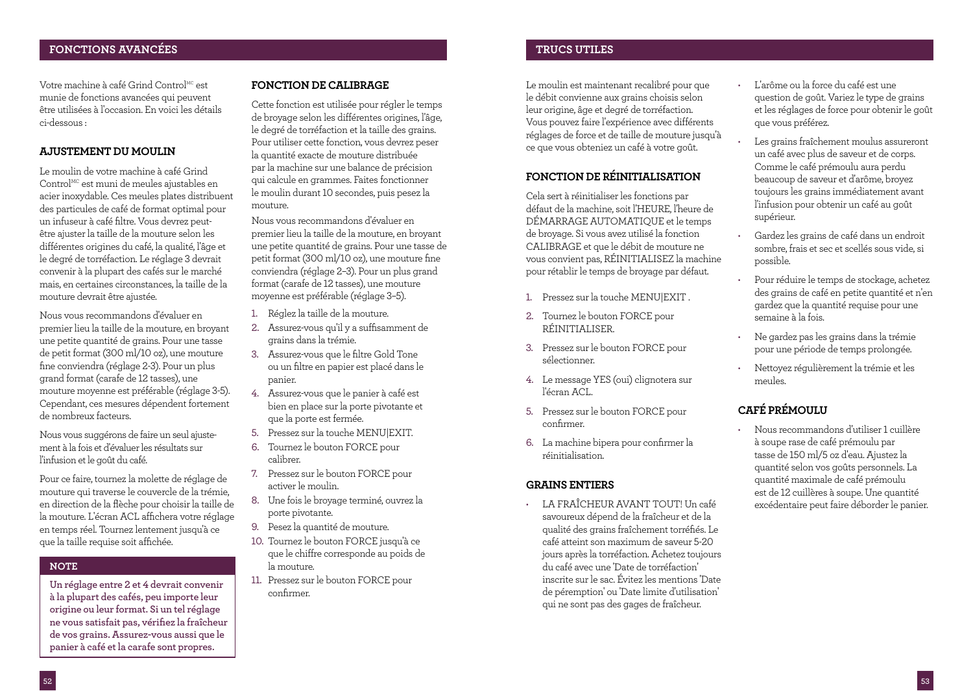## **FONCTIONS AVANCÉES TRUCS UTILES**

Votre machine à café Grind Control<sup>MC</sup> est munie de fonctions avancées qui peuvent être utilisées à l'occasion. En voici les détails ci-dessous :

## **AJUSTEMENT DU MOULIN**

Le moulin de votre machine à café Grind  $Control^{MC}$  est muni de meules ajustables en acier inoxydable. Ces meules plates distribuent des particules de café de format optimal pour un infuseur à café filtre. Vous devrez peutêtre ajuster la taille de la mouture selon les différentes origines du café, la qualité, l'âge et le degré de torréfaction. Le réglage 3 devrait convenir à la plupart des cafés sur le marché mais, en certaines circonstances, la taille de la mouture devrait être ajustée.

Nous vous recommandons d'évaluer en premier lieu la taille de la mouture, en broyant une petite quantité de grains. Pour une tasse de petit format (300 ml/10 oz), une mouture fine conviendra (réglage 2-3). Pour un plus grand format (carafe de 12 tasses), une mouture moyenne est préférable (réglage 3-5). Cependant, ces mesures dépendent fortement de nombreux facteurs.

Nous vous suggérons de faire un seul ajustement à la fois et d'évaluer les résultats sur l'infusion et le goût du café.

Pour ce faire, tournez la molette de réglage de mouture qui traverse le couvercle de la trémie, en direction de la flèche pour choisir la taille de la mouture. L'écran ACL affichera votre réglage en temps réel. Tournez lentement jusqu'à ce que la taille requise soit affichée.

## **NOTE**

**Un réglage entre 2 et 4 devrait convenir à la plupart des cafés, peu importe leur origine ou leur format. Si un tel réglage ne vous satisfait pas, vérifiez la fraîcheur de vos grains. Assurez-vous aussi que le panier à café et la carafe sont propres.**

### **FONCTION DE CALIBRAGE**

Cette fonction est utilisée pour régler le temps de broyage selon les différentes origines, l'âge, le degré de torréfaction et la taille des grains. Pour utiliser cette fonction, vous devrez peser la quantité exacte de mouture distribuée par la machine sur une balance de précision qui calcule en grammes. Faites fonctionner le moulin durant 10 secondes, puis pesez la mouture.

Nous vous recommandons d'évaluer en premier lieu la taille de la mouture, en broyant une petite quantité de grains. Pour une tasse de petit format (300 ml/10 oz), une mouture fine conviendra (réglage 2–3). Pour un plus grand format (carafe de 12 tasses), une mouture moyenne est préférable (réglage 3–5).

- 1. Réglez la taille de la mouture.
- 2. Assurez-vous qu'il y a suffisamment de grains dans la trémie.
- 3. Assurez-vous que le filtre Gold Tone ou un filtre en papier est placé dans le panier.
- 4. Assurez-vous que le panier à café est bien en place sur la porte pivotante et que la porte est fermée.
- 5. Pressez sur la touche MENU|EXIT.
- 6. Tournez le bouton FORCE pour calibrer.
- 7. Pressez sur le bouton FORCE pour activer le moulin.
- 8. Une fois le broyage terminé, ouvrez la porte pivotante.
- 9. Pesez la quantité de mouture.
- 10. Tournez le bouton FORCE jusqu'à ce que le chiffre corresponde au poids de la mouture.
- 11. Pressez sur le bouton FORCE pour confirmer.

Le moulin est maintenant recalibré pour que le débit convienne aux grains choisis selon leur origine, âge et degré de torréfaction. Vous pouvez faire l'expérience avec différents réglages de force et de taille de mouture jusqu'à ce que vous obteniez un café à votre goût.

## **FONCTION DE RÉINITIALISATION**

Cela sert à réinitialiser les fonctions par défaut de la machine, soit l'HEURE, l'heure de DÉMARRAGE AUTOMATIQUE et le temps de broyage. Si vous avez utilisé la fonction CALIBRAGE et que le débit de mouture ne vous convient pas, RÉINITIALISEZ la machine pour rétablir le temps de broyage par défaut.

- 1. Pressez sur la touche MENU|EXIT .
- 2. Tournez le bouton FORCE pour RÉINITIALISER.
- 3. Pressez sur le bouton FORCE pour sélectionner.
- 4. Le message YES (oui) clignotera sur l'écran ACL.
- 5. Pressez sur le bouton FORCE pour confirmer.
- 6. La machine bipera pour confirmer la réinitialisation.

## **GRAINS ENTIERS**

• LA FRAÎCHEUR AVANT TOUT! Un café savoureux dépend de la fraîcheur et de la qualité des grains fraîchement torréfiés. Le café atteint son maximum de saveur 5-20 jours après la torréfaction. Achetez toujours du café avec une 'Date de torréfaction' inscrite sur le sac. Évitez les mentions 'Date de péremption' ou 'Date limite d'utilisation' qui ne sont pas des gages de fraîcheur.

- L'arôme ou la force du café est une question de goût. Variez le type de grains et les réglages de force pour obtenir le goût que vous préférez.
- Les grains fraîchement moulus assureront un café avec plus de saveur et de corps. Comme le café prémoulu aura perdu beaucoup de saveur et d'arôme, broyez toujours les grains immédiatement avant l'infusion pour obtenir un café au goût supérieur.
- Gardez les grains de café dans un endroit sombre, frais et sec et scellés sous vide, si possible.
- Pour réduire le temps de stockage, achetez des grains de café en petite quantité et n'en gardez que la quantité requise pour une semaine à la fois.
- Ne gardez pas les grains dans la trémie pour une période de temps prolongée.
- Nettoyez régulièrement la trémie et les meules.

## **CAFÉ PRÉMOULU**

• Nous recommandons d'utiliser 1 cuillère à soupe rase de café prémoulu par tasse de 150 ml/5 oz d'eau. Ajustez la quantité selon vos goûts personnels. La quantité maximale de café prémoulu est de 12 cuillères à soupe. Une quantité excédentaire peut faire déborder le panier.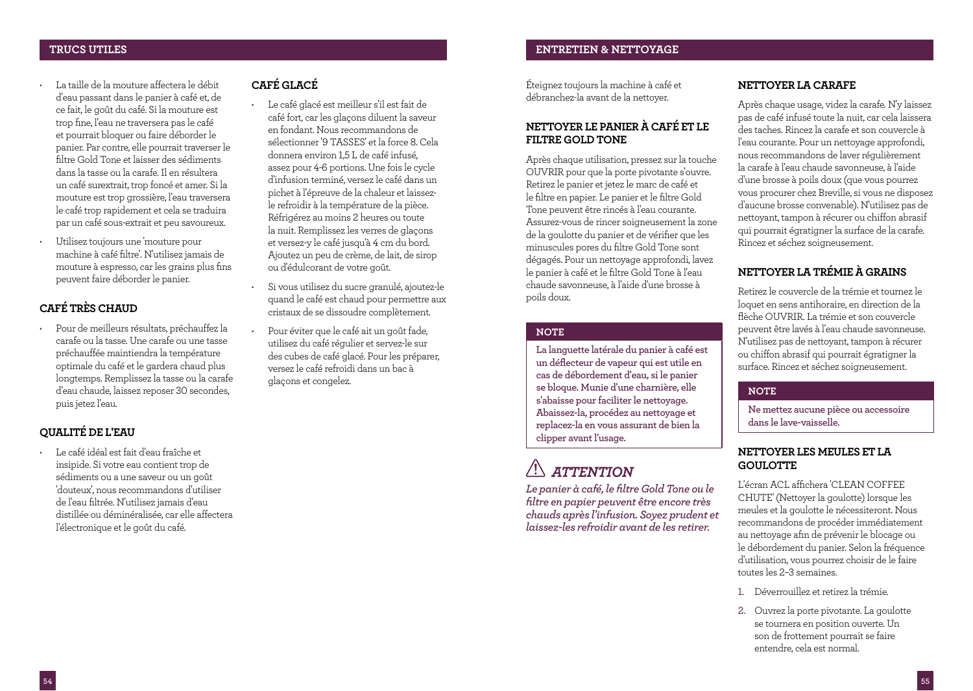- La taille de la mouture affectera le débit d'eau passant dans le panier à café et, de ce fait, le goût du café. Si la mouture est trop fine, l'eau ne traversera pas le café et pourrait bloquer ou faire déborder le panier. Par contre, elle pourrait traverser le filtre Gold Tone et laisser des sédiments dans la tasse ou la carafe. Il en résultera un café surextrait, trop foncé et amer. Si la mouture est trop grossière, l'eau traversera le café trop rapidement et cela se traduira par un café sous-extrait et peu savoureux.
- Utilisez toujours une 'mouture pour machine à café filtre'. N'utilisez jamais de mouture à espresso, car les grains plus fins peuvent faire déborder le panier.

## **CAFÉ TRÈS CHAUD**

• Pour de meilleurs résultats, préchauffez la carafe ou la tasse. Une carafe ou une tasse préchauffée maintiendra la température optimale du café et le gardera chaud plus longtemps. Remplissez la tasse ou la carafe d'eau chaude, laissez reposer 30 secondes, puis jetez l'eau.

## **QUALITÉ DE L'EAU**

• Le café idéal est fait d'eau fraîche et insipide. Si votre eau contient trop de sédiments ou a une saveur ou un goût 'douteux', nous recommandons d'utiliser de l'eau filtrée. N'utilisez jamais d'eau distillée ou déminéralisée, car elle affectera l'électronique et le goût du café.

## **CAFÉ GLACÉ**

- Le café glacé est meilleur s'il est fait de café fort, car les glaçons diluent la saveur en fondant. Nous recommandons de sélectionner '9 TASSES' et la force 8. Cela donnera environ 1,5 L de café infusé, assez pour 4-6 portions. Une fois le cycle d'infusion terminé, versez le café dans un pichet à l'épreuve de la chaleur et laissezle refroidir à la température de la pièce. Réfrigérez au moins 2 heures ou toute la nuit. Remplissez les verres de glaçons et versez-y le café jusqu'à 4 cm du bord. Ajoutez un peu de crème, de lait, de sirop ou d'édulcorant de votre goût.
- Si vous utilisez du sucre granulé, ajoutez-le quand le café est chaud pour permettre aux cristaux de se dissoudre complètement.
- Pour éviter que le café ait un goût fade, utilisez du café régulier et servez-le sur des cubes de café glacé. Pour les préparer, versez le café refroidi dans un bac à glaçons et congelez.

Éteignez toujours la machine à café et débranchez-la avant de la nettoyer.

## **NETTOYER LE PANIER À CAFÉ ET LE FILTRE GOLD TONE**

Après chaque utilisation, pressez sur la touche OUVRIR pour que la porte pivotante s'ouvre. Retirez le panier et jetez le marc de café et le filtre en papier. Le panier et le filtre Gold Tone peuvent être rincés à l'eau courante. Assurez-vous de rincer soigneusement la zone de la goulotte du panier et de vérifier que les minuscules pores du filtre Gold Tone sont dégagés. Pour un nettoyage approfondi, lavez le panier à café et le filtre Gold Tone à l'eau chaude savonneuse, à l'aide d'une brosse à poils doux.

## **NOTE**

**La languette latérale du panier à café est un déflecteur de vapeur qui est utile en cas de débordement d'eau, si le panier se bloque. Munie d'une charnière, elle s'abaisse pour faciliter le nettoyage. Abaissez-la, procédez au nettoyage et replacez-la en vous assurant de bien la clipper avant l'usage.**

# *ATTENTION*

*Le panier à café, le filtre Gold Tone ou le filtre en papier peuvent être encore très chauds après l'infusion. Soyez prudent et laissez-les refroidir avant de les retirer.*

## **NETTOYER LA CARAFE**

Après chaque usage, videz la carafe. N'y laissez pas de café infusé toute la nuit, car cela laissera des taches. Rincez la carafe et son couvercle à l'eau courante. Pour un nettoyage approfondi, nous recommandons de laver régulièrement la carafe à l'eau chaude savonneuse, à l'aide d'une brosse à poils doux (que vous pourrez vous procurer chez Breville, si vous ne disposez d'aucune brosse convenable). N'utilisez pas de nettoyant, tampon à récurer ou chiffon abrasif qui pourrait égratigner la surface de la carafe. Rincez et séchez soigneusement.

## **NETTOYER LA TRÉMIE À GRAINS**

Retirez le couvercle de la trémie et tournez le loquet en sens antihoraire, en direction de la flèche OUVRIR. La trémie et son couvercle peuvent être lavés à l'eau chaude savonneuse. N'utilisez pas de nettoyant, tampon à récurer ou chiffon abrasif qui pourrait égratigner la surface. Rincez et séchez soigneusement.

## **NOTE**

**Ne mettez aucune pièce ou accessoire dans le lave-vaisselle.**

## **NETTOYER LES MEULES ET LA GOULOTTE**

L'écran ACL affichera 'CLEAN COFFEE CHUTE' (Nettoyer la goulotte) lorsque les meules et la goulotte le nécessiteront. Nous recommandons de procéder immédiatement au nettoyage afin de prévenir le blocage ou le débordement du panier. Selon la fréquence d'utilisation, vous pourrez choisir de le faire toutes les 2–3 semaines.

- 1. Déverrouillez et retirez la trémie.
- 2. Ouvrez la porte pivotante. La goulotte se tournera en position ouverte. Un son de frottement pourrait se faire entendre, cela est normal.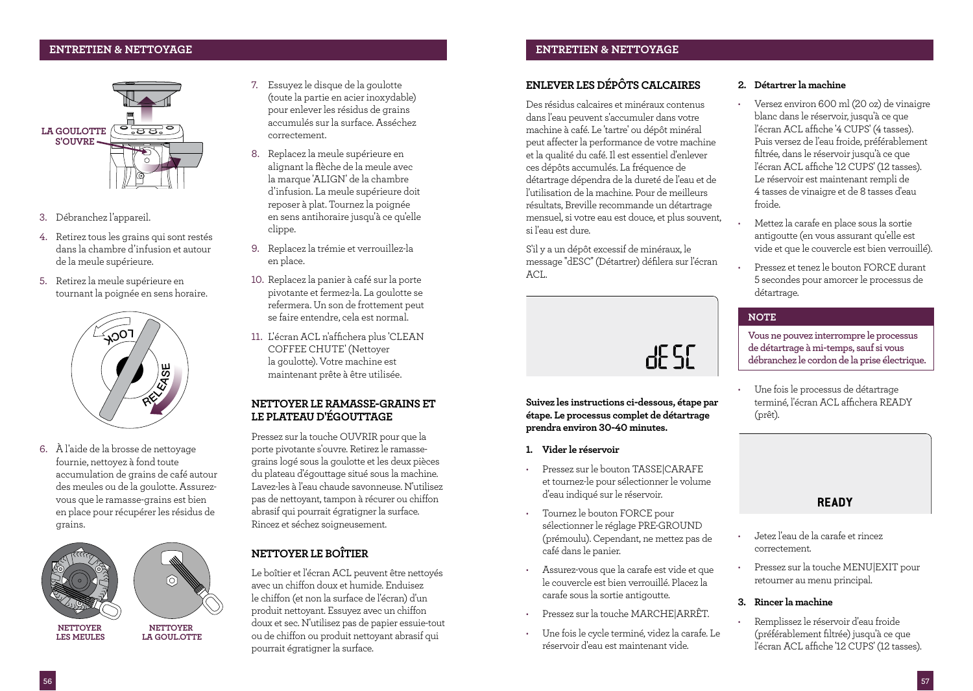## **ENTRETIEN & NETTOYAGE ENTRETIEN & NETTOYAGE**



- 3. Débranchez l'appareil.
- 4. Retirez tous les grains qui sont restés dans la chambre d'infusion et autour de la meule supérieure.
- 5. Retirez la meule supérieure en tournant la poignée en sens horaire.



6. À l'aide de la brosse de nettoyage fournie, nettoyez à fond toute accumulation de grains de café autour des meules ou de la goulotte. Assurezvous que le ramasse-grains est bien en place pour récupérer les résidus de grains.



**LA GOUL.OTTE**

**NETTOYER LES MEULES**

- 7. Essuyez le disque de la goulotte (toute la partie en acier inoxydable) pour enlever les résidus de grains accumulés sur la surface. Asséchez correctement.
- 8. Replacez la meule supérieure en alignant la flèche de la meule avec la marque 'ALIGN' de la chambre d'infusion. La meule supérieure doit reposer à plat. Tournez la poignée en sens antihoraire jusqu'à ce qu'elle clippe.
- 9. Replacez la trémie et verrouillez-la en place.
- 10. Replacez la panier à café sur la porte pivotante et fermez-la. La goulotte se refermera. Un son de frottement peut se faire entendre, cela est normal.
- 11. L'écran ACL n'affichera plus 'CLEAN COFFEE CHUTE' (Nettoyer la goulotte). Votre machine est maintenant prête à être utilisée.

## **NETTOYER LE RAMASSE-GRAINS ET LE PLATEAU D'ÉGOUTTAGE**

Pressez sur la touche OUVRIR pour que la porte pivotante s'ouvre. Retirez le ramassegrains logé sous la goulotte et les deux pièces du plateau d'égouttage situé sous la machine. Lavez-les à l'eau chaude savonneuse. N'utilisez pas de nettoyant, tampon à récurer ou chiffon abrasif qui pourrait égratigner la surface. Rincez et séchez soigneusement.

## **NETTOYER LE BOÎTIER**

Le boîtier et l'écran ACL peuvent être nettoyés avec un chiffon doux et humide. Enduisez le chiffon (et non la surface de l'écran) d'un produit nettoyant. Essuyez avec un chiffon doux et sec. N'utilisez pas de papier essuie-tout ou de chiffon ou produit nettoyant abrasif qui pourrait égratigner la surface.

## **ENLEVER LES DÉPÔTS CALCAIRES**

Des résidus calcaires et minéraux contenus dans l'eau peuvent s'accumuler dans votre machine à café. Le 'tartre' ou dépôt minéral peut affecter la performance de votre machine et la qualité du café. Il est essentiel d'enlever ces dépôts accumulés. La fréquence de détartrage dépendra de la dureté de l'eau et de l'utilisation de la machine. Pour de meilleurs résultats, Breville recommande un détartrage mensuel, si votre eau est douce, et plus souvent, si l'eau est dure.

S'il y a un dépôt excessif de minéraux, le message ''dESC'' (Détartrer) défilera sur l'écran  $ACI$ 



**Suivez les instructions ci-dessous, étape par étape. Le processus complet de détartrage prendra environ 30-40 minutes.**

- **1. Vider le réservoir**
- Pressez sur le bouton TASSE|CARAFE et tournez-le pour sélectionner le volume d'eau indiqué sur le réservoir.
- Tournez le bouton FORCE pour sélectionner le réglage PRE-GROUND (prémoulu). Cependant, ne mettez pas de café dans le panier.
- Assurez-vous que la carafe est vide et que le couvercle est bien verrouillé. Placez la carafe sous la sortie antigoutte.
- Pressez sur la touche MARCHE|ARRÊT.
- Une fois le cycle terminé, videz la carafe. Le réservoir d'eau est maintenant vide.

## **2. Détartrer la machine**

- Versez environ 600 ml (20 oz) de vinaigre blanc dans le réservoir, jusqu'à ce que l'écran ACL affiche '4 CUPS' (4 tasses). Puis versez de l'eau froide, préférablement filtrée, dans le réservoir jusqu'à ce que l'écran ACL affiche '12 CUPS' (12 tasses). Le réservoir est maintenant rempli de 4 tasses de vinaigre et de 8 tasses d'eau froide.
- Mettez la carafe en place sous la sortie antigoutte (en vous assurant qu'elle est vide et que le couvercle est bien verrouillé).
- Pressez et tenez le bouton FORCE durant 5 secondes pour amorcer le processus de détartrage.

### **NOTE**

**Vous ne pouvez interrompre le processus de détartrage à mi-temps, sauf si vous débranchez le cordon de la prise électrique.**

• Une fois le processus de détartrage terminé, l'écran ACI affichera READY (prêt).

## **READY**

- Jetez l'eau de la carafe et rincez correctement.
- Pressez sur la touche MENU|EXIT pour retourner au menu principal.

## **3. Rincer la machine**

• Remplissez le réservoir d'eau froide (préférablement filtrée) jusqu'à ce que l'écran ACL affiche '12 CUPS' (12 tasses).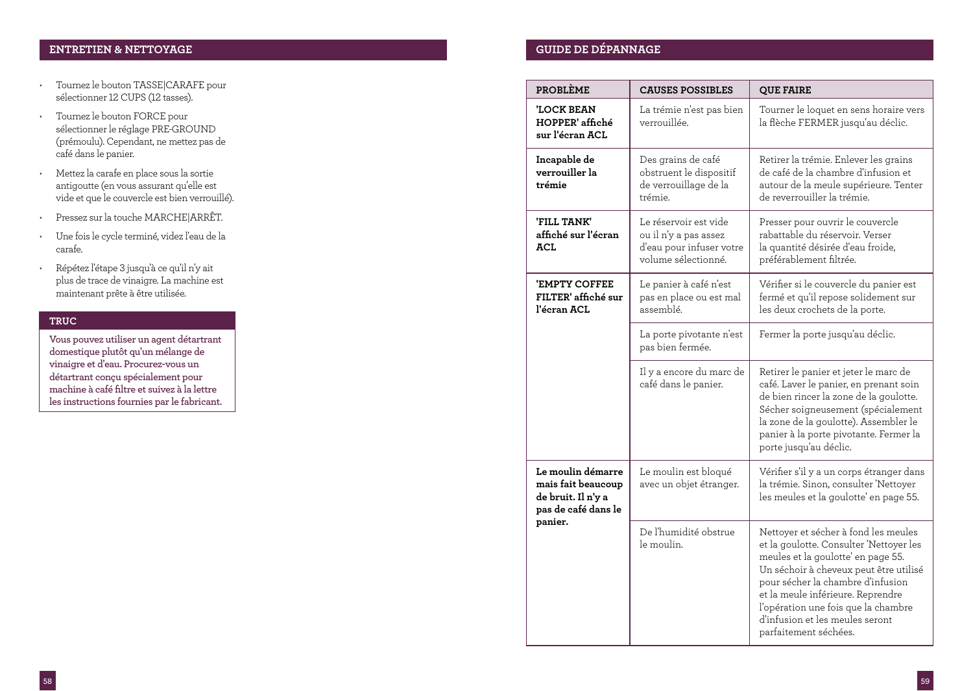## **ENTRETIEN & NETTOYAGE GUIDE DE DÉPANNAGE**

- Tournez le bouton TASSE|CARAFE pour sélectionner 12 CUPS (12 tasses).
- Tournez le bouton FORCE pour sélectionner le réglage PRE-GROUND (prémoulu). Cependant, ne mettez pas de café dans le panier.
- Mettez la carafe en place sous la sortie antigoutte (en vous assurant qu'elle est vide et que le couvercle est bien verrouillé).
- Pressez sur la touche MARCHE|ARRÊT.
- Une fois le cycle terminé, videz l'eau de la carafe.
- Répétez l'étape 3 jusqu'à ce qu'il n'y ait plus de trace de vinaigre. La machine est maintenant prête à être utilisée.

## **TRUC**

**Vous pouvez utiliser un agent détartrant domestique plutôt qu'un mélange de vinaigre et d'eau. Procurez-vous un détartrant conçu spécialement pour machine à café filtre et suivez à la lettre les instructions fournies par le fabricant.** 

| <b>PROBLÈME</b>                                                                      | <b>CAUSES POSSIBLES</b>                                                                           | <b>QUE FAIRE</b>                                                                                                                                                                                                                                                                                                                             |
|--------------------------------------------------------------------------------------|---------------------------------------------------------------------------------------------------|----------------------------------------------------------------------------------------------------------------------------------------------------------------------------------------------------------------------------------------------------------------------------------------------------------------------------------------------|
| 'LOCK BEAN<br>HOPPER' affiché<br>sur l'écran ACL                                     | La trémie n'est pas bien<br>verrouillée.                                                          | Tourner le loquet en sens horaire vers<br>la flèche FERMER jusqu'au déclic.                                                                                                                                                                                                                                                                  |
| Incapable de<br>verrouiller la<br>trémie                                             | Des grains de café<br>obstruent le dispositif<br>de verrouillage de la<br>trémie.                 | Retirer la trémie. Enlever les grains<br>de café de la chambre d'infusion et<br>autour de la meule supérieure. Tenter<br>de reverrouiller la trémie.                                                                                                                                                                                         |
| 'FILL TANK'<br>affiché sur l'écran<br>ACL                                            | Le réservoir est vide<br>ou il n'y a pas assez<br>d'eau pour infuser votre<br>volume sélectionné. | Presser pour ouvrir le couvercle<br>rabattable du réservoir. Verser<br>la quantité désirée d'eau froide,<br>préférablement filtrée.                                                                                                                                                                                                          |
| 'EMPTY COFFEE<br>FILTER' affiché sur<br>l'écran ACL                                  | Le panier à café n'est<br>pas en place ou est mal<br>assemblé.                                    | Vérifier si le couvercle du panier est<br>fermé et qu'il repose solidement sur<br>les deux crochets de la porte.                                                                                                                                                                                                                             |
|                                                                                      | La porte pivotante n'est<br>pas bien fermée.                                                      | Fermer la porte jusqu'au déclic.                                                                                                                                                                                                                                                                                                             |
|                                                                                      | Il y a encore du marc de<br>café dans le panier.                                                  | Retirer le panier et jeter le marc de<br>café. Laver le panier, en prenant soin<br>de bien rincer la zone de la goulotte.<br>Sécher soigneusement (spécialement<br>la zone de la goulotte). Assembler le<br>panier à la porte pivotante. Fermer la<br>porte jusqu'au déclic.                                                                 |
| Le moulin démarre<br>mais fait beaucoup<br>de bruit. Il n'y a<br>pas de café dans le | Le moulin est bloqué<br>avec un objet étranger.                                                   | Vérifier s'il y a un corps étranger dans<br>la trémie. Sinon, consulter 'Nettoyer<br>les meules et la goulotte' en page 55.                                                                                                                                                                                                                  |
| panier.                                                                              | De l'humidité obstrue<br>le moulin.                                                               | Nettoyer et sécher à fond les meules<br>et la goulotte. Consulter 'Nettoyer les<br>meules et la goulotte' en page 55.<br>Un séchoir à cheveux peut être utilisé<br>pour sécher la chambre d'infusion<br>et la meule inférieure. Reprendre<br>l'opération une fois que la chambre<br>d'infusion et les meules seront<br>parfaitement séchées. |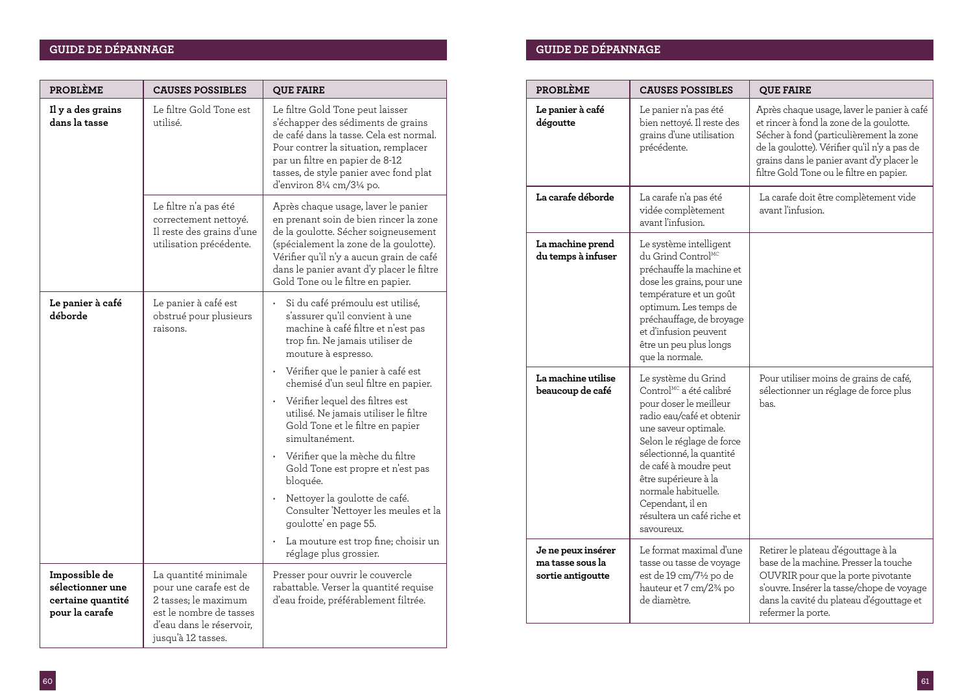## **GUIDE DE DÉPANNAGE GUIDE DE DÉPANNAGE**

| <b>PROBLÈME</b>                                                          | <b>CAUSES POSSIBLES</b>                                                                                                                             | <b>QUE FAIRE</b>                                                                                                                                                                                                                                                                                                                                                                                                                                                                                                                                                                                                                                           |
|--------------------------------------------------------------------------|-----------------------------------------------------------------------------------------------------------------------------------------------------|------------------------------------------------------------------------------------------------------------------------------------------------------------------------------------------------------------------------------------------------------------------------------------------------------------------------------------------------------------------------------------------------------------------------------------------------------------------------------------------------------------------------------------------------------------------------------------------------------------------------------------------------------------|
| Il y a des grains<br>dans la tasse                                       | Le filtre Gold Tone est<br>utilisé.                                                                                                                 | Le filtre Gold Tone peut laisser<br>s'échapper des sédiments de grains<br>de café dans la tasse. Cela est normal.<br>Pour contrer la situation, remplacer<br>par un filtre en papier de 8-12<br>tasses, de style panier avec fond plat<br>d'environ 81/4 cm/31/4 po.                                                                                                                                                                                                                                                                                                                                                                                       |
|                                                                          | Le filtre n'a pas été<br>correctement nettoyé.<br>Il reste des grains d'une<br>utilisation précédente.                                              | Après chaque usage, laver le panier<br>en prenant soin de bien rincer la zone<br>de la goulotte. Sécher soigneusement<br>(spécialement la zone de la goulotte).<br>Vérifier qu'il n'y a aucun grain de café<br>dans le panier avant d'y placer le filtre<br>Gold Tone ou le filtre en papier.                                                                                                                                                                                                                                                                                                                                                              |
| Le panier à café<br>déborde                                              | Le panier à café est<br>obstrué pour plusieurs<br>raisons.                                                                                          | Si du café prémoulu est utilisé,<br>s'assurer qu'il convient à une<br>machine à café filtre et n'est pas<br>trop fin. Ne jamais utiliser de<br>mouture à espresso.<br>Vérifier que le panier à café est<br>chemisé d'un seul filtre en papier.<br>Vérifier lequel des filtres est<br>$\bullet$<br>utilisé. Ne jamais utiliser le filtre<br>Gold Tone et le filtre en papier<br>simultanément.<br>Vérifier que la mèche du filtre<br>Gold Tone est propre et n'est pas<br>bloquée.<br>Nettoyer la goulotte de café.<br>¥<br>Consulter 'Nettoyer les meules et la<br>goulotte' en page 55.<br>La mouture est trop fine; choisir un<br>réglage plus grossier. |
| Impossible de<br>sélectionner une<br>certaine quantité<br>pour la carafe | La quantité minimale<br>pour une carafe est de<br>2 tasses: le maximum<br>est le nombre de tasses<br>d'eau dans le réservoir,<br>jusqu'à 12 tasses. | Presser pour ouvrir le couvercle<br>rabattable. Verser la quantité requise<br>d'eau froide, préférablement filtrée.                                                                                                                                                                                                                                                                                                                                                                                                                                                                                                                                        |

| <b>PROBLÈME</b>                                             | <b>CAUSES POSSIBLES</b>                                                                                                                                                                                                                                                                                                                    | <b>QUE FAIRE</b>                                                                                                                                                                                                                                                           |
|-------------------------------------------------------------|--------------------------------------------------------------------------------------------------------------------------------------------------------------------------------------------------------------------------------------------------------------------------------------------------------------------------------------------|----------------------------------------------------------------------------------------------------------------------------------------------------------------------------------------------------------------------------------------------------------------------------|
| Le panier à café<br>dégoutte                                | Le panier n'a pas été<br>bien nettoyé. Il reste des<br>grains d'une utilisation<br>précédente.                                                                                                                                                                                                                                             | Après chaque usage, laver le panier à café<br>et rincer à fond la zone de la goulotte.<br>Sécher à fond (particulièrement la zone<br>de la goulotte). Vérifier qu'il n'y a pas de<br>grains dans le panier avant d'y placer le<br>filtre Gold Tone ou le filtre en papier. |
| La carafe déborde                                           | La carafe n'a pas été<br>vidée complètement<br>avant l'infusion.                                                                                                                                                                                                                                                                           | La carafe doit être complètement vide<br>avant l'infusion.                                                                                                                                                                                                                 |
| La machine prend<br>du temps à infuser                      | Le système intelligent<br>du Grind Control <sup>MC</sup><br>préchauffe la machine et<br>dose les grains, pour une<br>température et un goût<br>optimum. Les temps de<br>préchauffage, de broyage<br>et d'infusion peuvent<br>être un peu plus longs<br>que la normale.                                                                     |                                                                                                                                                                                                                                                                            |
| La machine utilise<br>beaucoup de café                      | Le système du Grind<br>Control <sup>MC</sup> a été calibré<br>pour doser le meilleur<br>radio eau/café et obtenir<br>une saveur optimale.<br>Selon le réglage de force<br>sélectionné, la quantité<br>de café à moudre peut<br>être supérieure à la<br>normale habituelle.<br>Cependant, il en<br>résultera un café riche et<br>savoureux. | Pour utiliser moins de grains de café,<br>sélectionner un réglage de force plus<br>bas.                                                                                                                                                                                    |
| Je ne peux insérer<br>ma tasse sous la<br>sortie antigoutte | Le format maximal d'une<br>tasse ou tasse de voyage<br>est de 19 cm/7½ po de<br>hauteur et 7 cm/2 <sup>3</sup> /4 po<br>de diamètre.                                                                                                                                                                                                       | Retirer le plateau d'égouttage à la<br>base de la machine. Presser la touche<br>OUVRIR pour que la porte pivotante<br>s'ouvre. Insérer la tasse/chope de voyage<br>dans la cavité du plateau d'égouttage et<br>refermer la porte.                                          |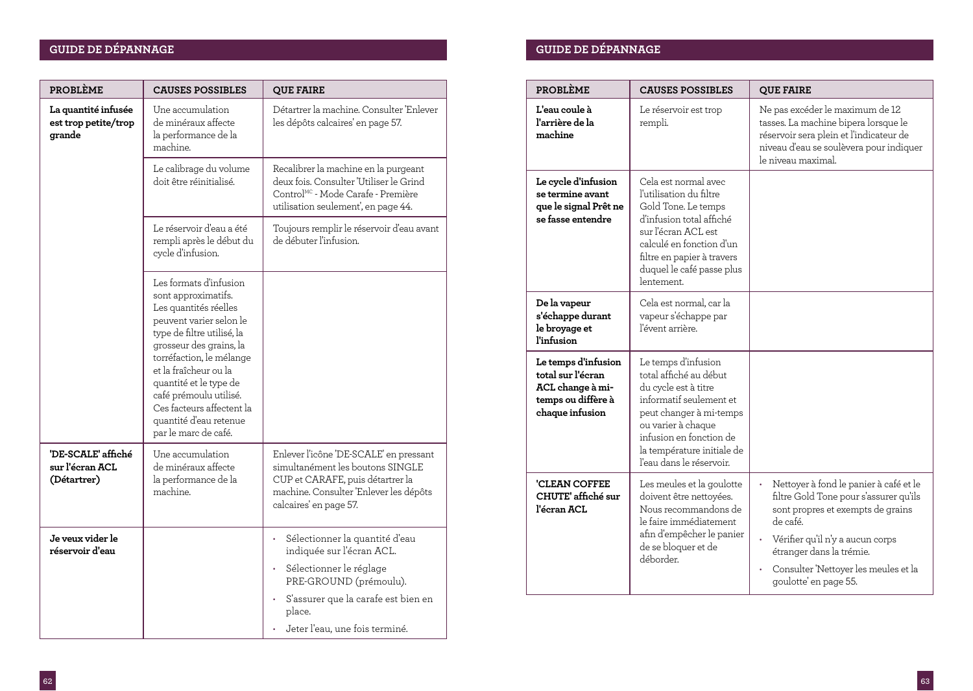## **GUIDE DE DÉPANNAGE GUIDE DE DÉPANNAGE**

| PROBLÈME                                              | <b>CAUSES POSSIBLES</b>                                                                                                                                                                                                                                                                                                                            | <b>QUE FAIRE</b>                                                                                                                                                                   |
|-------------------------------------------------------|----------------------------------------------------------------------------------------------------------------------------------------------------------------------------------------------------------------------------------------------------------------------------------------------------------------------------------------------------|------------------------------------------------------------------------------------------------------------------------------------------------------------------------------------|
| La quantité infusée<br>est trop petite/trop<br>grande | Une accumulation<br>de minéraux affecte<br>la performance de la<br>machine.                                                                                                                                                                                                                                                                        | Détartrer la machine. Consulter 'Enlever<br>les dépôts calcaires' en page 57.                                                                                                      |
|                                                       | Le calibrage du volume<br>doit être réinitialisé.                                                                                                                                                                                                                                                                                                  | Recalibrer la machine en la purgeant<br>deux fois. Consulter 'Utiliser le Grind<br>Control <sup>MC</sup> - Mode Carafe - Première<br>utilisation seulement', en page 44.           |
|                                                       | Le réservoir d'eau a été<br>rempli après le début du<br>cycle d'infusion.                                                                                                                                                                                                                                                                          | Toujours remplir le réservoir d'eau avant<br>de débuter l'infusion.                                                                                                                |
|                                                       | Les formats d'infusion<br>sont approximatifs.<br>Les quantités réelles<br>peuvent varier selon le<br>type de filtre utilisé, la<br>grosseur des grains, la<br>torréfaction, le mélange<br>et la fraîcheur ou la<br>quantité et le type de<br>café prémoulu utilisé.<br>Ces facteurs affectent la<br>quantité d'eau retenue<br>par le marc de café. |                                                                                                                                                                                    |
| 'DE-SCALE' affiché<br>sur l'écran ACL<br>(Détartrer)  | Une accumulation<br>de minéraux affecte<br>la performance de la<br>machine.                                                                                                                                                                                                                                                                        | Enlever l'icône 'DE-SCALE' en pressant<br>simultanément les boutons SINGLE<br>CUP et CARAFE, puis détartrer la<br>machine. Consulter 'Enlever les dépôts<br>calcaires' en page 57. |
| Je veux vider le<br>réservoir d'eau                   |                                                                                                                                                                                                                                                                                                                                                    | Sélectionner la quantité d'eau<br>indiquée sur l'écran ACL.<br>Sélectionner le réglage<br>PRE-GROUND (prémoulu).                                                                   |
|                                                       |                                                                                                                                                                                                                                                                                                                                                    | S'assurer que la carafe est bien en<br>place.                                                                                                                                      |
|                                                       |                                                                                                                                                                                                                                                                                                                                                    | Jeter l'eau, une fois terminé.                                                                                                                                                     |

| <b>PROBLÈME</b>                                                                                       | <b>CAUSES POSSIBLES</b>                                                                                                                                                                                                                | <b>QUE FAIRE</b>                                                                                                                                                                                                                                                   |
|-------------------------------------------------------------------------------------------------------|----------------------------------------------------------------------------------------------------------------------------------------------------------------------------------------------------------------------------------------|--------------------------------------------------------------------------------------------------------------------------------------------------------------------------------------------------------------------------------------------------------------------|
| L'eau coule à<br>l'arrière de la<br>machine                                                           | Le réservoir est trop<br>rempli.                                                                                                                                                                                                       | Ne pas excéder le maximum de 12<br>tasses. La machine bipera lorsque le<br>réservoir sera plein et l'indicateur de<br>niveau d'eau se soulèvera pour indiquer<br>le niveau maximal.                                                                                |
| Le cycle d'infusion<br>se termine avant<br>que le signal Prêt ne<br>se fasse entendre                 | Cela est normal avec<br>l'utilisation du filtre<br>Gold Tone. Le temps<br>d'infusion total affiché<br>sur l'écran ACL est<br>calculé en fonction d'un<br>filtre en papier à travers<br>duquel le café passe plus<br>lentement.         |                                                                                                                                                                                                                                                                    |
| De la vapeur<br>s'échappe durant<br>le broyage et<br><i>l'infusion</i>                                | Cela est normal, car la<br>vapeur s'échappe par<br>l'évent arrière.                                                                                                                                                                    |                                                                                                                                                                                                                                                                    |
| Le temps d'infusion<br>total sur l'écran<br>ACL change à mi-<br>temps ou diffère à<br>chaque infusion | Le temps d'infusion<br>total affiché au début<br>du cycle est à titre<br>informatif seulement et<br>peut changer à mi-temps<br>ou varier à chaque<br>infusion en fonction de<br>la température initiale de<br>l'eau dans le réservoir. |                                                                                                                                                                                                                                                                    |
| 'CLEAN COFFEE<br>CHUTE' affiché sur<br>l'écran ACL                                                    | Les meules et la goulotte<br>doivent être nettoyées.<br>Nous recommandons de<br>le faire immédiatement<br>afin d'empêcher le panier<br>de se bloquer et de<br>déborder.                                                                | Nettoyer à fond le panier à café et le<br>filtre Gold Tone pour s'assurer qu'ils<br>sont propres et exempts de grains<br>de café.<br>Vérifier qu'il n'y a aucun corps<br>étranger dans la trémie.<br>Consulter 'Nettoyer les meules et la<br>goulotte' en page 55. |